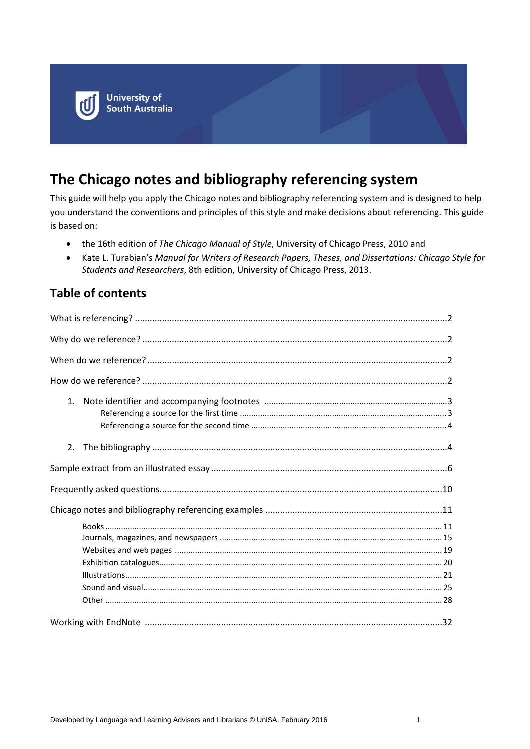

# **The Chicago notes and bibliography referencing system**

This guide will help you apply the Chicago notes and bibliography referencing system and is designed to help you understand the conventions and principles of this style and make decisions about referencing. This guide is based on:

- the 16th edition of *The Chicago Manual of Style*, University of Chicago Press, 2010 and
- Kate L. Turabian's *Manual for Writers of Research Papers, Theses, and Dissertations: Chicago Style for Students and Researchers*, 8th edition, University of Chicago Press, 2013.

## **Table of contents**

| 1. |  |
|----|--|
| 2. |  |
|    |  |
|    |  |
|    |  |
|    |  |
|    |  |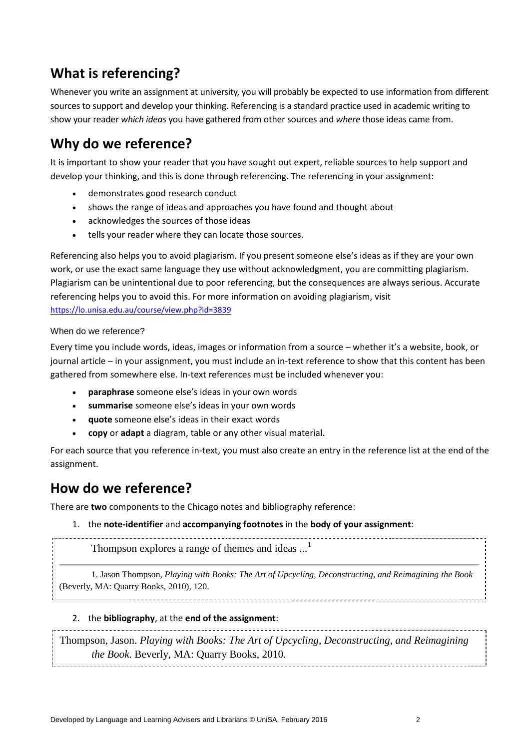## **What is referencing?**

Whenever you write an assignment at university, you will probably be expected to use information from different sources to support and develop your thinking. Referencing is a standard practice used in academic writing to show your reader *which ideas* you have gathered from other sources and *where* those ideas came from.

# **Why do we reference?**

It is important to show your reader that you have sought out expert, reliable sources to help support and develop your thinking, and this is done through referencing. The referencing in your assignment:

- demonstrates good research conduct
- shows the range of ideas and approaches you have found and thought about
- acknowledges the sources of those ideas
- tells your reader where they can locate those sources.

Referencing also helps you to avoid plagiarism. If you present someone else's ideas as if they are your own work, or use the exact same language they use without acknowledgment, you are committing plagiarism. Plagiarism can be unintentional due to poor referencing, but the consequences are always serious. Accurate referencing helps you to avoid this. For more information on avoiding plagiarism, visit <https://lo.unisa.edu.au/course/view.php?id=3839>

### When do we reference?

Every time you include words, ideas, images or information from a source – whether it's a website, book, or journal article – in your assignment, you must include an in-text reference to show that this content has been gathered from somewhere else. In-text references must be included whenever you:

- **paraphrase** someone else's ideas in your own words
- **summarise** someone else's ideas in your own words
- **quote** someone else's ideas in their exact words
- **copy** or **adapt** a diagram, table or any other visual material.

For each source that you reference in-text, you must also create an entry in the reference list at the end of the assignment.

## **How do we reference?**

There are **two** components to the Chicago notes and bibliography reference:

### 1. the **note-identifier** and **accompanying footnotes** in the **body of your assignment**:

Thompson explores a range of themes and ideas ...<sup>1</sup>

1. Jason Thompson, *Playing with Books: The Art of Upcycling, Deconstructing, and Reimagining the Book* (Beverly, MA: Quarry Books, 2010), 120.

### 2. the **bibliography**, at the **end of the assignment**:

Thompson, Jason. *Playing with Books: The Art of Upcycling, Deconstructing, and Reimagining the Book*. Beverly, MA: Quarry Books, 2010.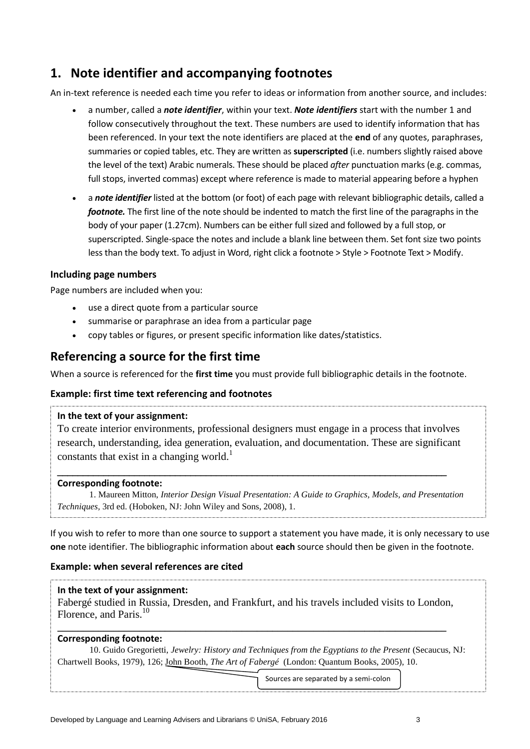## **1. Note identifier and accompanying footnotes**

An in-text reference is needed each time you refer to ideas or information from another source, and includes:

- a number, called a *note identifier*, within your text. *Note identifiers* start with the number 1 and follow consecutively throughout the text. These numbers are used to identify information that has been referenced. In your text the note identifiers are placed at the **end** of any quotes, paraphrases, summaries or copied tables, etc. They are written as **superscripted** (i.e. numbers slightly raised above the level of the text) Arabic numerals. These should be placed *after* punctuation marks (e.g. commas, full stops, inverted commas) except where reference is made to material appearing before a hyphen
- a *note identifier* listed at the bottom (or foot) of each page with relevant bibliographic details, called a *footnote.* The first line of the note should be indented to match the first line of the paragraphs in the body of your paper (1.27cm). Numbers can be either full sized and followed by a full stop, or superscripted. Single-space the notes and include a blank line between them. Set font size two points less than the body text. To adjust in Word, right click a footnote > Style > Footnote Text > Modify.

### **Including page numbers**

Page numbers are included when you:

- use a direct quote from a particular source
- summarise or paraphrase an idea from a particular page
- copy tables or figures, or present specific information like dates/statistics.

### **Referencing a source for the first time**

When a source is referenced for the **first time** you must provide full bibliographic details in the footnote.

### **Example: first time text referencing and footnotes**

#### **In the text of your assignment:**

To create interior environments, professional designers must engage in a process that involves research, understanding, idea generation, evaluation, and documentation. These are significant constants that exist in a changing world.<sup>1</sup>

\_\_\_\_\_\_\_\_\_\_\_\_\_\_\_\_\_\_\_\_\_\_\_\_\_\_\_\_\_\_\_\_\_\_\_\_\_\_\_\_\_\_\_\_\_\_\_\_\_\_\_\_\_\_\_\_\_\_\_\_\_\_\_\_\_\_\_\_\_\_\_\_\_\_\_\_

#### **Corresponding footnote:**

1. Maureen Mitton, *Interior Design Visual Presentation: A Guide to Graphics, Models, and Presentation Techniques,* 3rd ed. (Hoboken, NJ: John Wiley and Sons, 2008), 1.

If you wish to refer to more than one source to support a statement you have made, it is only necessary to use **one** note identifier. The bibliographic information about **each** source should then be given in the footnote.

### **Example: when several references are cited**

### **In the text of your assignment:**

Fabergé studied in Russia, Dresden, and Frankfurt, and his travels included visits to London, Florence, and Paris.<sup>10</sup>

**\_\_\_\_\_\_\_\_\_\_\_\_\_\_\_\_\_\_\_\_\_\_\_\_\_\_\_\_\_\_\_\_\_\_\_\_\_\_\_\_\_\_\_\_\_\_\_\_\_\_\_\_\_\_\_\_\_\_\_\_\_\_\_\_\_\_\_\_\_\_\_\_\_\_\_\_**

### **Corresponding footnote:**

10. Guido Gregorietti, *Jewelry: History and Techniques from the Egyptians to the Present* (Secaucus, NJ: Chartwell Books, 1979), 126; John Booth, *The Art of Fabergé* (London: Quantum Books, 2005), 10.

Sources are separated by a semi-colon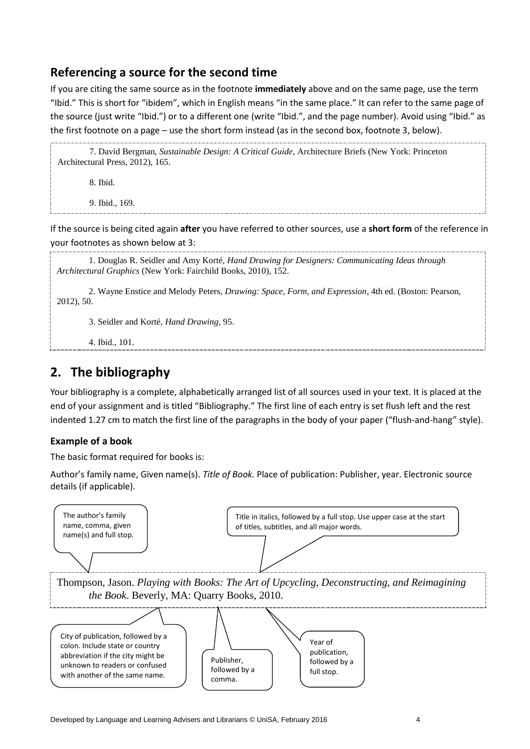## **Referencing a source for the second time**

If you are citing the same source as in the footnote **immediately** above and on the same page, use the term "Ibid." This is short for "ibidem", which in English means "in the same place." It can refer to the same page of the source (just write "Ibid.") or to a different one (write "Ibid.", and the page number). Avoid using "Ibid." as the first footnote on a page – use the short form instead (as in the second box, footnote 3, below).

7. David Bergman, *Sustainable Design: A Critical Guide*, Architecture Briefs (New York: Princeton Architectural Press, 2012), 165.

8. Ibid.

9. Ibid., 169.

If the source is being cited again **after** you have referred to other sources, use a **short form** of the reference in your footnotes as shown below at 3:

1. Douglas R. Seidler and Amy Korté, *Hand Drawing for Designers: Communicating Ideas through Architectural Graphics* (New York: Fairchild Books, 2010), 152.

2. Wayne Enstice and Melody Peters, *Drawing: Space, Form, and Expression*, 4th ed. (Boston: Pearson, 2012), 50.

3. Seidler and Korté, *Hand Drawing*, 95.

4. Ibid., 101.

## **2. The bibliography**

Your bibliography is a complete, alphabetically arranged list of all sources used in your text. It is placed at the end of your assignment and is titled "Bibliography." The first line of each entry is set flush left and the rest indented 1.27 cm to match the first line of the paragraphs in the body of your paper ("flush-and-hang" style).

### **Example of a book**

The basic format required for books is:

Author's family name, Given name(s). *Title of Book.* Place of publication: Publisher, year. Electronic source details (if applicable).

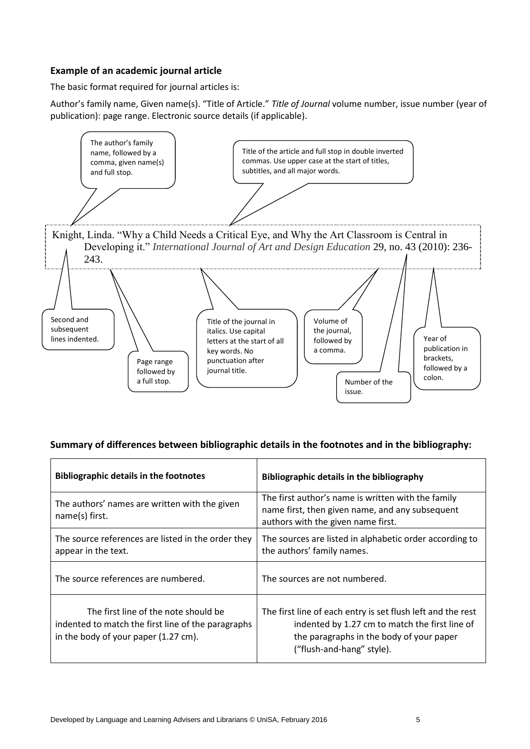### **Example of an academic journal article**

The basic format required for journal articles is:

Author's family name, Given name(s). "Title of Article." *Title of Journal* volume number, issue number (year of publication): page range. Electronic source details (if applicable).



### **Summary of differences between bibliographic details in the footnotes and in the bibliography:**

| <b>Bibliographic details in the footnotes</b>                                                                                      | Bibliographic details in the bibliography                                                                                                                                              |
|------------------------------------------------------------------------------------------------------------------------------------|----------------------------------------------------------------------------------------------------------------------------------------------------------------------------------------|
| The authors' names are written with the given<br>name(s) first.                                                                    | The first author's name is written with the family<br>name first, then given name, and any subsequent<br>authors with the given name first.                                            |
| The source references are listed in the order they<br>appear in the text.                                                          | The sources are listed in alphabetic order according to<br>the authors' family names.                                                                                                  |
| The source references are numbered.                                                                                                | The sources are not numbered.                                                                                                                                                          |
| The first line of the note should be<br>indented to match the first line of the paragraphs<br>in the body of your paper (1.27 cm). | The first line of each entry is set flush left and the rest<br>indented by 1.27 cm to match the first line of<br>the paragraphs in the body of your paper<br>("flush-and-hang" style). |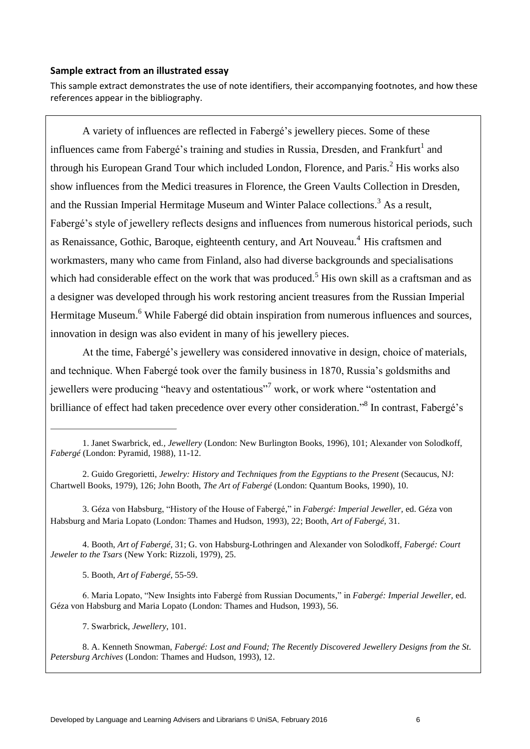#### **Sample extract from an illustrated essay**

This sample extract demonstrates the use of note identifiers, their accompanying footnotes, and how these references appear in the bibliography.

A variety of influences are reflected in Fabergé's jewellery pieces. Some of these influences came from Fabergé's training and studies in Russia, Dresden, and Frankfurt<sup>1</sup> and through his European Grand Tour which included London, Florence, and Paris.<sup>2</sup> His works also show influences from the Medici treasures in Florence, the Green Vaults Collection in Dresden, and the Russian Imperial Hermitage Museum and Winter Palace collections.<sup>3</sup> As a result. Fabergé's style of jewellery reflects designs and influences from numerous historical periods, such as Renaissance, Gothic, Baroque, eighteenth century, and Art Nouveau.<sup>4</sup> His craftsmen and workmasters, many who came from Finland, also had diverse backgrounds and specialisations which had considerable effect on the work that was produced.<sup>5</sup> His own skill as a craftsman and as a designer was developed through his work restoring ancient treasures from the Russian Imperial Hermitage Museum.<sup>6</sup> While Fabergé did obtain inspiration from numerous influences and sources, innovation in design was also evident in many of his jewellery pieces.

At the time, Fabergé's jewellery was considered innovative in design, choice of materials, and technique. When Fabergé took over the family business in 1870, Russia's goldsmiths and jewellers were producing "heavy and ostentatious"<sup>7</sup> work, or work where "ostentation and brilliance of effect had taken precedence over every other consideration."<sup>8</sup> In contrast, Fabergé's

3. Géza von Habsburg, "History of the House of Fabergé," in *Fabergé: Imperial Jeweller,* ed. Géza von Habsburg and Maria Lopato (London: Thames and Hudson, 1993), 22; Booth, *Art of Fabergé,* 31.

4. Booth, *Art of Fabergé,* 31; G. von Habsburg-Lothringen and Alexander von Solodkoff, *Fabergé: Court Jeweler to the Tsars* (New York: Rizzoli, 1979), 25.

5. Booth, *Art of Fabergé,* 55-59.

6. Maria Lopato, "New Insights into Fabergé from Russian Documents," in *Fabergé: Imperial Jeweller,* ed. Géza von Habsburg and Maria Lopato (London: Thames and Hudson, 1993), 56.

7. Swarbrick, *Jewellery*, 101.

8. A. Kenneth Snowman, *Fabergé: Lost and Found; The Recently Discovered Jewellery Designs from the St. Petersburg Archives* (London: Thames and Hudson, 1993), 12.

<sup>1.</sup> Janet Swarbrick, ed*., Jewellery* (London: New Burlington Books, 1996), 101; Alexander von Solodkoff, *Fabergé* (London: Pyramid, 1988), 11-12.

<sup>2.</sup> Guido Gregorietti, *Jewelry: History and Techniques from the Egyptians to the Present* (Secaucus, NJ: Chartwell Books, 1979), 126; John Booth, *The Art of Fabergé* (London: Quantum Books, 1990), 10.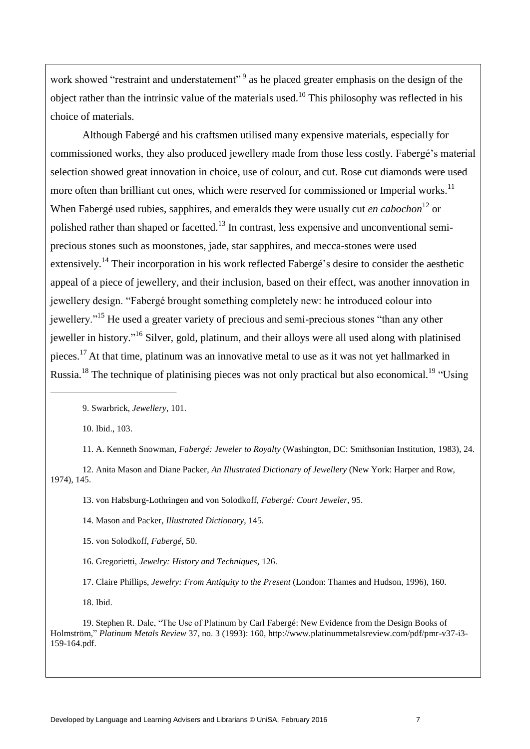work showed "restraint and understatement"<sup>9</sup> as he placed greater emphasis on the design of the object rather than the intrinsic value of the materials used.<sup>10</sup> This philosophy was reflected in his choice of materials.

Although Fabergé and his craftsmen utilised many expensive materials, especially for commissioned works, they also produced jewellery made from those less costly. Fabergé's material selection showed great innovation in choice, use of colour, and cut. Rose cut diamonds were used more often than brilliant cut ones, which were reserved for commissioned or Imperial works.<sup>11</sup> When Fabergé used rubies, sapphires, and emeralds they were usually cut *en cabochon*<sup>12</sup> or polished rather than shaped or facetted.<sup>13</sup> In contrast, less expensive and unconventional semiprecious stones such as moonstones, jade, star sapphires, and mecca-stones were used extensively.<sup>14</sup> Their incorporation in his work reflected Fabergé's desire to consider the aesthetic appeal of a piece of jewellery, and their inclusion, based on their effect, was another innovation in jewellery design. "Fabergé brought something completely new: he introduced colour into jewellery."<sup>15</sup> He used a greater variety of precious and semi-precious stones "than any other jeweller in history."<sup>16</sup> Silver, gold, platinum, and their alloys were all used along with platinised pieces.<sup>17</sup> At that time, platinum was an innovative metal to use as it was not yet hallmarked in Russia.<sup>18</sup> The technique of platinising pieces was not only practical but also economical.<sup>19</sup> "Using

9. Swarbrick, *Jewellery*, 101.

10. Ibid., 103.

11. A. Kenneth Snowman, *Fabergé: Jeweler to Royalty* (Washington, DC: Smithsonian Institution, 1983), 24.

12. Anita Mason and Diane Packer, *An Illustrated Dictionary of Jewellery* (New York: Harper and Row, 1974), 145.

13. von Habsburg-Lothringen and von Solodkoff, *Fabergé: Court Jeweler*, 95.

14. Mason and Packer, *Illustrated Dictionary*, 145.

15. von Solodkoff, *Fabergé*, 50.

16. Gregorietti, *Jewelry: History and Techniques*, 126.

17. Claire Phillips, *Jewelry: From Antiquity to the Present* (London: Thames and Hudson, 1996), 160.

18. Ibid.

19. Stephen R. Dale, "The Use of Platinum by Carl Fabergé: New Evidence from the Design Books of Holmström," *Platinum Metals Review* 37, no. 3 (1993): 160, http://www.platinummetalsreview.com/pdf/pmr-v37-i3- 159-164.pdf.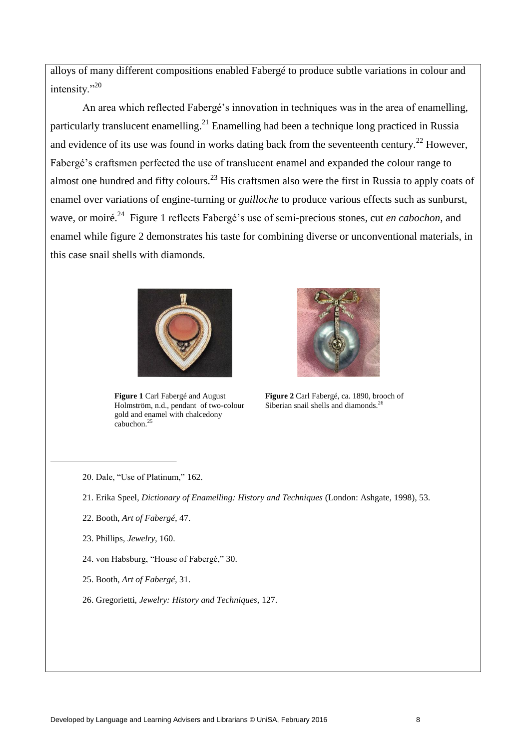alloys of many different compositions enabled Fabergé to produce subtle variations in colour and intensity."<sup>20</sup>

An area which reflected Fabergé's innovation in techniques was in the area of enamelling, particularly translucent enamelling.<sup>21</sup> Enamelling had been a technique long practiced in Russia and evidence of its use was found in works dating back from the seventeenth century.<sup>22</sup> However, Fabergé's craftsmen perfected the use of translucent enamel and expanded the colour range to almost one hundred and fifty colours.<sup>23</sup> His craftsmen also were the first in Russia to apply coats of enamel over variations of engine-turning or *guilloche* to produce various effects such as sunburst, wave, or moiré.<sup>24</sup> Figure 1 reflects Fabergé's use of semi-precious stones, cut *en cabochon*, and enamel while figure 2 demonstrates his taste for combining diverse or unconventional materials, in this case snail shells with diamonds.



**Figure 1** Carl Fabergé and August Holmström, n.d., pendant of two-colour gold and enamel with chalcedony cabuchon. $25$ 



**Figure 2** Carl Fabergé, ca. 1890, brooch of Siberian snail shells and diamonds.<sup>26</sup>

- 20. Dale, "Use of Platinum," 162.
- 21. Erika Speel, *Dictionary of Enamelling: History and Techniques* (London: Ashgate, 1998), 53.
- 22. Booth, *Art of Fabergé*, 47.
- 23. Phillips, *Jewelry*, 160.
- 24. von Habsburg, "House of Fabergé," 30.
- 25. Booth, *Art of Fabergé*, 31.
- 26. Gregorietti, *Jewelry: History and Techniques,* 127.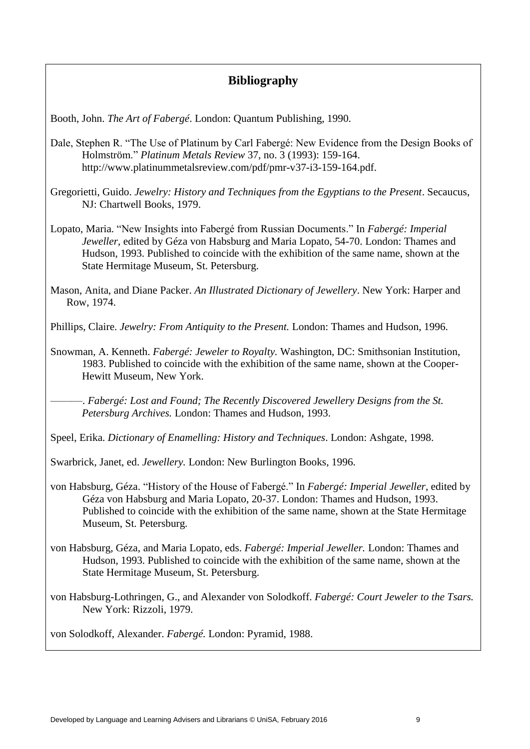### **Bibliography**

Booth, John. *The Art of Fabergé*. London: Quantum Publishing, 1990.

- Dale, Stephen R. "The Use of Platinum by Carl Fabergé: New Evidence from the Design Books of Holmström." *Platinum Metals Review* 37, no. 3 (1993): 159-164. http://www.platinummetalsreview.com/pdf/pmr-v37-i3-159-164.pdf.
- Gregorietti, Guido. *Jewelry: History and Techniques from the Egyptians to the Present*. Secaucus, NJ: Chartwell Books, 1979.
- Lopato, Maria. "New Insights into Fabergé from Russian Documents." In *Fabergé: Imperial Jeweller*, edited by Géza von Habsburg and Maria Lopato, 54-70. London: Thames and Hudson, 1993. Published to coincide with the exhibition of the same name, shown at the State Hermitage Museum, St. Petersburg.
- Mason, Anita, and Diane Packer. *An Illustrated Dictionary of Jewellery*. New York: Harper and Row, 1974.

Phillips, Claire. *Jewelry: From Antiquity to the Present.* London: Thames and Hudson, 1996.

Snowman, A. Kenneth. *Fabergé: Jeweler to Royalty.* Washington, DC: Smithsonian Institution, 1983. Published to coincide with the exhibition of the same name, shown at the Cooper-Hewitt Museum, New York.

———. *Fabergé: Lost and Found; The Recently Discovered Jewellery Designs from the St. Petersburg Archives.* London: Thames and Hudson, 1993.

Speel, Erika. *Dictionary of Enamelling: History and Techniques*. London: Ashgate, 1998.

- Swarbrick, Janet, ed. *Jewellery.* London: New Burlington Books, 1996.
- von Habsburg, Géza. "History of the House of Fabergé." In *Fabergé: Imperial Jeweller*, edited by Géza von Habsburg and Maria Lopato, 20-37. London: Thames and Hudson, 1993. Published to coincide with the exhibition of the same name, shown at the State Hermitage Museum, St. Petersburg.
- von Habsburg, Géza, and Maria Lopato, eds. *Fabergé: Imperial Jeweller.* London: Thames and Hudson, 1993. Published to coincide with the exhibition of the same name, shown at the State Hermitage Museum, St. Petersburg.
- von Habsburg-Lothringen, G., and Alexander von Solodkoff. *Fabergé: Court Jeweler to the Tsars.*  New York: Rizzoli, 1979.

von Solodkoff, Alexander. *Fabergé.* London: Pyramid, 1988.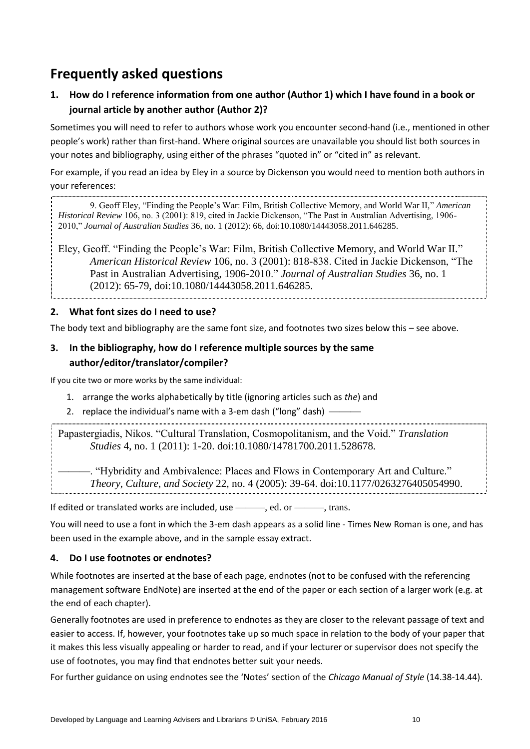# **Frequently asked questions**

**1. How do I reference information from one author (Author 1) which I have found in a book or journal article by another author (Author 2)?**

Sometimes you will need to refer to authors whose work you encounter second-hand (i.e., mentioned in other people's work) rather than first-hand. Where original sources are unavailable you should list both sources in your notes and bibliography, using either of the phrases "quoted in" or "cited in" as relevant.

For example, if you read an idea by Eley in a source by Dickenson you would need to mention both authors in your references:

9. Geoff Eley, "Finding the People's War: Film, British Collective Memory, and World War II," *American Historical Review* 106, no. 3 (2001): 819, cited in Jackie Dickenson, "The Past in Australian Advertising, 1906- 2010," *Journal of Australian Studies* 36, no. 1 (2012): 66, doi:10.1080/14443058.2011.646285.

Eley, Geoff. "Finding the People's War: Film, British Collective Memory, and World War II." *American Historical Review* 106, no. 3 (2001): 818-838. Cited in Jackie Dickenson, "The Past in Australian Advertising, 1906-2010." *Journal of Australian Studies* 36, no. 1 (2012): 65-79, doi:10.1080/14443058.2011.646285.

### **2. What font sizes do I need to use?**

The body text and bibliography are the same font size, and footnotes two sizes below this – see above.

### **3. In the bibliography, how do I reference multiple sources by the same author/editor/translator/compiler?**

If you cite two or more works by the same individual:

- 1. arrange the works alphabetically by title (ignoring articles such as *the*) and
- 2. replace the individual's name with a 3-em dash ("long" dash)  $\cdot$

Papastergiadis, Nikos. "Cultural Translation, Cosmopolitanism, and the Void." *Translation Studies* 4, no. 1 (2011): 1-20. doi:10.1080/14781700.2011.528678.

-. "Hybridity and Ambivalence: Places and Flows in Contemporary Art and Culture." *Theory*, *Culture*, *and Society* 22, no. 4 (2005): 39-64. doi:10.1177/0263276405054990.

If edited or translated works are included, use ———, ed. or ———, trans.

You will need to use a font in which the 3-em dash appears as a solid line - Times New Roman is one, and has been used in the example above, and in the sample essay extract.

### **4. Do I use footnotes or endnotes?**

While footnotes are inserted at the base of each page, endnotes (not to be confused with the referencing management software EndNote) are inserted at the end of the paper or each section of a larger work (e.g. at the end of each chapter).

Generally footnotes are used in preference to endnotes as they are closer to the relevant passage of text and easier to access. If, however, your footnotes take up so much space in relation to the body of your paper that it makes this less visually appealing or harder to read, and if your lecturer or supervisor does not specify the use of footnotes, you may find that endnotes better suit your needs.

For further guidance on using endnotes see the 'Notes' section of the *Chicago Manual of Style* (14.38-14.44).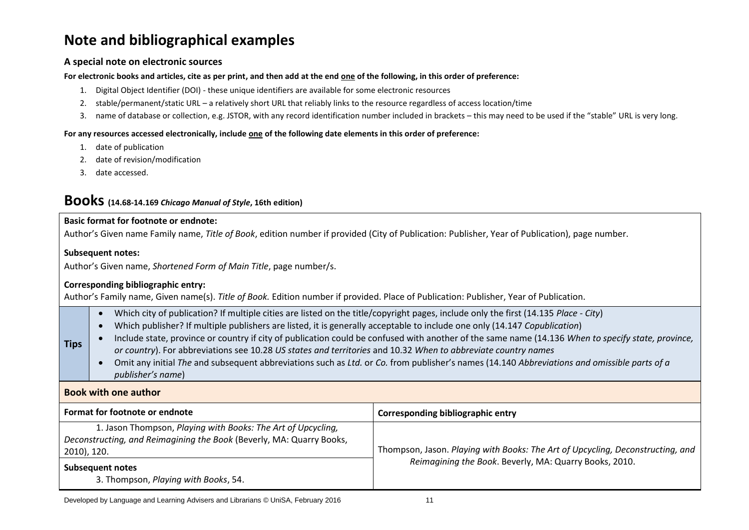# **Note and bibliographical examples**

#### **A special note on electronic sources**

#### **For electronic books and articles, cite as per print, and then add at the end one of the following, in this order of preference:**

- 1. Digital Object Identifier (DOI) these unique identifiers are available for some electronic resources
- 2. stable/permanent/static URL a relatively short URL that reliably links to the resource regardless of access location/time
- 3. name of database or collection, e.g. JSTOR, with any record identification number included in brackets this may need to be used if the "stable" URL is very long.

#### **For any resources accessed electronically, include one of the following date elements in this order of preference:**

- 1. date of publication
- 2. date of revision/modification
- 3. date accessed.

### **Books (14.68-14.169** *Chicago Manual of Style***, 16th edition)**

#### **Basic format for footnote or endnote:**

Author's Given name Family name, *Title of Book*, edition number if provided (City of Publication: Publisher, Year of Publication), page number.

#### **Subsequent notes:**

**Tips**

Author's Given name, *Shortened Form of Main Title*, page number/s.

#### **Corresponding bibliographic entry:**

Author's Family name, Given name(s). *Title of Book.* Edition number if provided. Place of Publication: Publisher, Year of Publication.

- Which city of publication? If multiple cities are listed on the title/copyright pages, include only the first (14.135 *Place - City*)
- Which publisher? If multiple publishers are listed, it is generally acceptable to include one only (14.147 *Copublication*)
- Include state, province or country if city of publication could be confused with another of the same name (14.136 *When to specify state, province, or country*). For abbreviations see 10.28 *US states and territories* and 10.32 *When to abbreviate country names*
- Omit any initial *The* and subsequent abbreviations such as *Ltd.* or *Co.* from publisher's names (14.140 *Abbreviations and omissible parts of a publisher's name*)

#### **Book with one author**

| Format for footnote or endnote                                                                                                                      | Corresponding bibliographic entry                                              |
|-----------------------------------------------------------------------------------------------------------------------------------------------------|--------------------------------------------------------------------------------|
| 1. Jason Thompson, Playing with Books: The Art of Upcycling,<br>Deconstructing, and Reimagining the Book (Beverly, MA: Quarry Books,<br>2010), 120. | Thompson, Jason. Playing with Books: The Art of Upcycling, Deconstructing, and |
| <b>Subsequent notes</b><br>3. Thompson, Playing with Books, 54.                                                                                     | Reimagining the Book. Beverly, MA: Quarry Books, 2010.                         |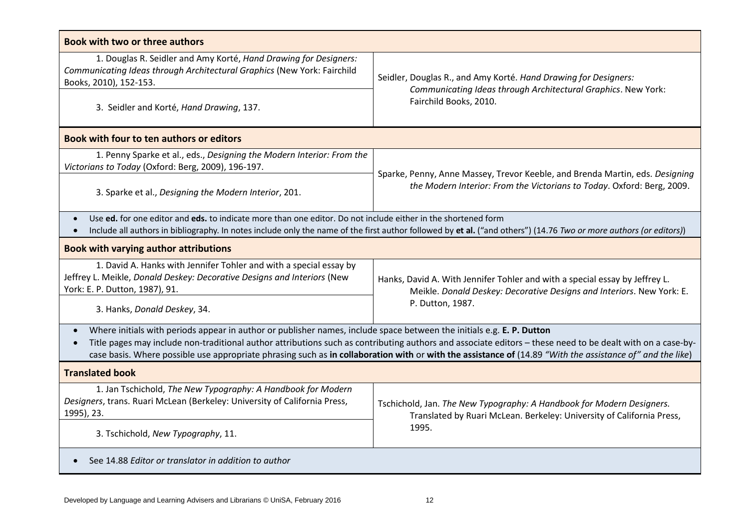| <b>Book with two or three authors</b>                                                                                                                                                                                                                                                                                                                                                                                                                                      |                                                                                                                                                        |  |
|----------------------------------------------------------------------------------------------------------------------------------------------------------------------------------------------------------------------------------------------------------------------------------------------------------------------------------------------------------------------------------------------------------------------------------------------------------------------------|--------------------------------------------------------------------------------------------------------------------------------------------------------|--|
| 1. Douglas R. Seidler and Amy Korté, Hand Drawing for Designers:<br>Communicating Ideas through Architectural Graphics (New York: Fairchild<br>Books, 2010), 152-153.                                                                                                                                                                                                                                                                                                      | Seidler, Douglas R., and Amy Korté. Hand Drawing for Designers:                                                                                        |  |
| 3. Seidler and Korté, Hand Drawing, 137.                                                                                                                                                                                                                                                                                                                                                                                                                                   | Communicating Ideas through Architectural Graphics. New York:<br>Fairchild Books, 2010.                                                                |  |
| Book with four to ten authors or editors                                                                                                                                                                                                                                                                                                                                                                                                                                   |                                                                                                                                                        |  |
| 1. Penny Sparke et al., eds., Designing the Modern Interior: From the<br>Victorians to Today (Oxford: Berg, 2009), 196-197.                                                                                                                                                                                                                                                                                                                                                |                                                                                                                                                        |  |
| 3. Sparke et al., Designing the Modern Interior, 201.                                                                                                                                                                                                                                                                                                                                                                                                                      | Sparke, Penny, Anne Massey, Trevor Keeble, and Brenda Martin, eds. Designing<br>the Modern Interior: From the Victorians to Today. Oxford: Berg, 2009. |  |
| Use ed. for one editor and eds. to indicate more than one editor. Do not include either in the shortened form<br>$\bullet$<br>Include all authors in bibliography. In notes include only the name of the first author followed by et al. ("and others") (14.76 Two or more authors (or editors))                                                                                                                                                                           |                                                                                                                                                        |  |
| <b>Book with varying author attributions</b>                                                                                                                                                                                                                                                                                                                                                                                                                               |                                                                                                                                                        |  |
| 1. David A. Hanks with Jennifer Tohler and with a special essay by<br>Jeffrey L. Meikle, Donald Deskey: Decorative Designs and Interiors (New<br>York: E. P. Dutton, 1987), 91.                                                                                                                                                                                                                                                                                            | Hanks, David A. With Jennifer Tohler and with a special essay by Jeffrey L.<br>Meikle. Donald Deskey: Decorative Designs and Interiors. New York: E.   |  |
| 3. Hanks, Donald Deskey, 34.                                                                                                                                                                                                                                                                                                                                                                                                                                               | P. Dutton, 1987.                                                                                                                                       |  |
| Where initials with periods appear in author or publisher names, include space between the initials e.g. E. P. Dutton<br>$\bullet$<br>Title pages may include non-traditional author attributions such as contributing authors and associate editors - these need to be dealt with on a case-by-<br>$\bullet$<br>case basis. Where possible use appropriate phrasing such as in collaboration with or with the assistance of (14.89 "With the assistance of" and the like) |                                                                                                                                                        |  |
| <b>Translated book</b>                                                                                                                                                                                                                                                                                                                                                                                                                                                     |                                                                                                                                                        |  |
| 1. Jan Tschichold, The New Typography: A Handbook for Modern<br>Designers, trans. Ruari McLean (Berkeley: University of California Press,<br>1995), 23.                                                                                                                                                                                                                                                                                                                    | Tschichold, Jan. The New Typography: A Handbook for Modern Designers.<br>Translated by Ruari McLean. Berkeley: University of California Press,         |  |
| 3. Tschichold, New Typography, 11.                                                                                                                                                                                                                                                                                                                                                                                                                                         | 1995.                                                                                                                                                  |  |
| See 14.88 Editor or translator in addition to author<br>$\bullet$                                                                                                                                                                                                                                                                                                                                                                                                          |                                                                                                                                                        |  |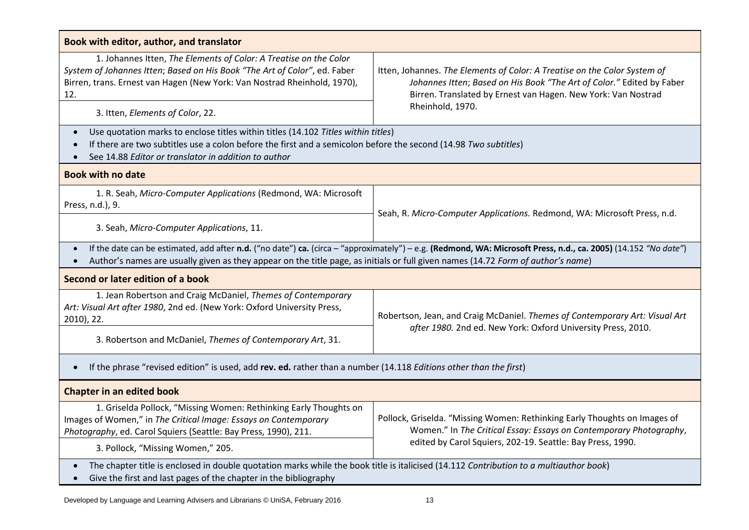| Book with editor, author, and translator                                                                                                                                                                                                                                                            |                                                                                                                                                                                                                                         |  |
|-----------------------------------------------------------------------------------------------------------------------------------------------------------------------------------------------------------------------------------------------------------------------------------------------------|-----------------------------------------------------------------------------------------------------------------------------------------------------------------------------------------------------------------------------------------|--|
| 1. Johannes Itten, The Elements of Color: A Treatise on the Color<br>System of Johannes Itten; Based on His Book "The Art of Color", ed. Faber<br>Birren, trans. Ernest van Hagen (New York: Van Nostrad Rheinhold, 1970),<br>12.<br>3. Itten, Elements of Color, 22.                               | Itten, Johannes. The Elements of Color: A Treatise on the Color System of<br>Johannes Itten; Based on His Book "The Art of Color." Edited by Faber<br>Birren. Translated by Ernest van Hagen. New York: Van Nostrad<br>Rheinhold, 1970. |  |
| Use quotation marks to enclose titles within titles (14.102 Titles within titles)                                                                                                                                                                                                                   |                                                                                                                                                                                                                                         |  |
| $\bullet$<br>If there are two subtitles use a colon before the first and a semicolon before the second (14.98 Two subtitles)<br>See 14.88 Editor or translator in addition to author                                                                                                                |                                                                                                                                                                                                                                         |  |
| <b>Book with no date</b>                                                                                                                                                                                                                                                                            |                                                                                                                                                                                                                                         |  |
| 1. R. Seah, Micro-Computer Applications (Redmond, WA: Microsoft<br>Press, n.d.), 9.                                                                                                                                                                                                                 | Seah, R. Micro-Computer Applications. Redmond, WA: Microsoft Press, n.d.                                                                                                                                                                |  |
| 3. Seah, Micro-Computer Applications, 11.                                                                                                                                                                                                                                                           |                                                                                                                                                                                                                                         |  |
| If the date can be estimated, add after n.d. ("no date") ca. (circa - "approximately") - e.g. (Redmond, WA: Microsoft Press, n.d., ca. 2005) (14.152 "No date")<br>Author's names are usually given as they appear on the title page, as initials or full given names (14.72 Form of author's name) |                                                                                                                                                                                                                                         |  |
| Second or later edition of a book                                                                                                                                                                                                                                                                   |                                                                                                                                                                                                                                         |  |
| 1. Jean Robertson and Craig McDaniel, Themes of Contemporary<br>Art: Visual Art after 1980, 2nd ed. (New York: Oxford University Press,<br>2010), 22.                                                                                                                                               | Robertson, Jean, and Craig McDaniel. Themes of Contemporary Art: Visual Art                                                                                                                                                             |  |
| 3. Robertson and McDaniel, Themes of Contemporary Art, 31.                                                                                                                                                                                                                                          | after 1980. 2nd ed. New York: Oxford University Press, 2010.                                                                                                                                                                            |  |
| If the phrase "revised edition" is used, add rev. ed. rather than a number (14.118 Editions other than the first)                                                                                                                                                                                   |                                                                                                                                                                                                                                         |  |
| <b>Chapter in an edited book</b>                                                                                                                                                                                                                                                                    |                                                                                                                                                                                                                                         |  |
| 1. Griselda Pollock, "Missing Women: Rethinking Early Thoughts on<br>Images of Women," in The Critical Image: Essays on Contemporary<br>Photography, ed. Carol Squiers (Seattle: Bay Press, 1990), 211.                                                                                             | Pollock, Griselda. "Missing Women: Rethinking Early Thoughts on Images of<br>Women." In The Critical Essay: Essays on Contemporary Photography,                                                                                         |  |
| 3. Pollock, "Missing Women," 205.                                                                                                                                                                                                                                                                   | edited by Carol Squiers, 202-19. Seattle: Bay Press, 1990.                                                                                                                                                                              |  |
| The chapter title is enclosed in double quotation marks while the book title is italicised (14.112 Contribution to a multiauthor book)<br>Give the first and last pages of the chapter in the bibliography                                                                                          |                                                                                                                                                                                                                                         |  |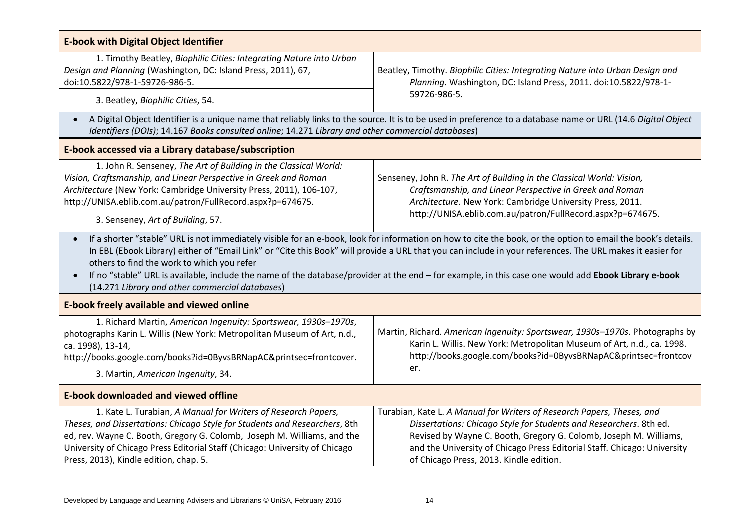| <b>E-book with Digital Object Identifier</b>                                                                                                                                                                                                                                                                                                                                                                                                                                                                                                                                                                 |                                                                                                                                                                                                                                                                                                                                          |  |
|--------------------------------------------------------------------------------------------------------------------------------------------------------------------------------------------------------------------------------------------------------------------------------------------------------------------------------------------------------------------------------------------------------------------------------------------------------------------------------------------------------------------------------------------------------------------------------------------------------------|------------------------------------------------------------------------------------------------------------------------------------------------------------------------------------------------------------------------------------------------------------------------------------------------------------------------------------------|--|
| 1. Timothy Beatley, Biophilic Cities: Integrating Nature into Urban<br>Design and Planning (Washington, DC: Island Press, 2011), 67,<br>doi:10.5822/978-1-59726-986-5.                                                                                                                                                                                                                                                                                                                                                                                                                                       | Beatley, Timothy. Biophilic Cities: Integrating Nature into Urban Design and<br>Planning. Washington, DC: Island Press, 2011. doi:10.5822/978-1-                                                                                                                                                                                         |  |
| 3. Beatley, Biophilic Cities, 54.                                                                                                                                                                                                                                                                                                                                                                                                                                                                                                                                                                            | 59726-986-5.                                                                                                                                                                                                                                                                                                                             |  |
| $\bullet$<br>Identifiers (DOIs); 14.167 Books consulted online; 14.271 Library and other commercial databases)                                                                                                                                                                                                                                                                                                                                                                                                                                                                                               | A Digital Object Identifier is a unique name that reliably links to the source. It is to be used in preference to a database name or URL (14.6 Digital Object                                                                                                                                                                            |  |
| E-book accessed via a Library database/subscription                                                                                                                                                                                                                                                                                                                                                                                                                                                                                                                                                          |                                                                                                                                                                                                                                                                                                                                          |  |
| 1. John R. Senseney, The Art of Building in the Classical World:<br>Vision, Craftsmanship, and Linear Perspective in Greek and Roman<br>Architecture (New York: Cambridge University Press, 2011), 106-107,<br>http://UNISA.eblib.com.au/patron/FullRecord.aspx?p=674675.<br>3. Senseney, Art of Building, 57.                                                                                                                                                                                                                                                                                               | Senseney, John R. The Art of Building in the Classical World: Vision,<br>Craftsmanship, and Linear Perspective in Greek and Roman<br>Architecture. New York: Cambridge University Press, 2011.<br>http://UNISA.eblib.com.au/patron/FullRecord.aspx?p=674675.                                                                             |  |
| If a shorter "stable" URL is not immediately visible for an e-book, look for information on how to cite the book, or the option to email the book's details.<br>$\bullet$<br>In EBL (Ebook Library) either of "Email Link" or "Cite this Book" will provide a URL that you can include in your references. The URL makes it easier for<br>others to find the work to which you refer<br>If no "stable" URL is available, include the name of the database/provider at the end - for example, in this case one would add Ebook Library e-book<br>$\bullet$<br>(14.271 Library and other commercial databases) |                                                                                                                                                                                                                                                                                                                                          |  |
| <b>E-book freely available and viewed online</b>                                                                                                                                                                                                                                                                                                                                                                                                                                                                                                                                                             |                                                                                                                                                                                                                                                                                                                                          |  |
| 1. Richard Martin, American Ingenuity: Sportswear, 1930s-1970s,<br>photographs Karin L. Willis (New York: Metropolitan Museum of Art, n.d.,<br>ca. 1998), 13-14,<br>http://books.google.com/books?id=0ByvsBRNapAC&printsec=frontcover.<br>3. Martin, American Ingenuity, 34.                                                                                                                                                                                                                                                                                                                                 | Martin, Richard. American Ingenuity: Sportswear, 1930s-1970s. Photographs by<br>Karin L. Willis. New York: Metropolitan Museum of Art, n.d., ca. 1998.<br>http://books.google.com/books?id=0ByvsBRNapAC&printsec=frontcov<br>er.                                                                                                         |  |
| <b>E-book downloaded and viewed offline</b>                                                                                                                                                                                                                                                                                                                                                                                                                                                                                                                                                                  |                                                                                                                                                                                                                                                                                                                                          |  |
| 1. Kate L. Turabian, A Manual for Writers of Research Papers,<br>Theses, and Dissertations: Chicago Style for Students and Researchers, 8th<br>ed, rev. Wayne C. Booth, Gregory G. Colomb, Joseph M. Williams, and the<br>University of Chicago Press Editorial Staff (Chicago: University of Chicago<br>Press, 2013), Kindle edition, chap. 5.                                                                                                                                                                                                                                                              | Turabian, Kate L. A Manual for Writers of Research Papers, Theses, and<br>Dissertations: Chicago Style for Students and Researchers. 8th ed.<br>Revised by Wayne C. Booth, Gregory G. Colomb, Joseph M. Williams,<br>and the University of Chicago Press Editorial Staff. Chicago: University<br>of Chicago Press, 2013. Kindle edition. |  |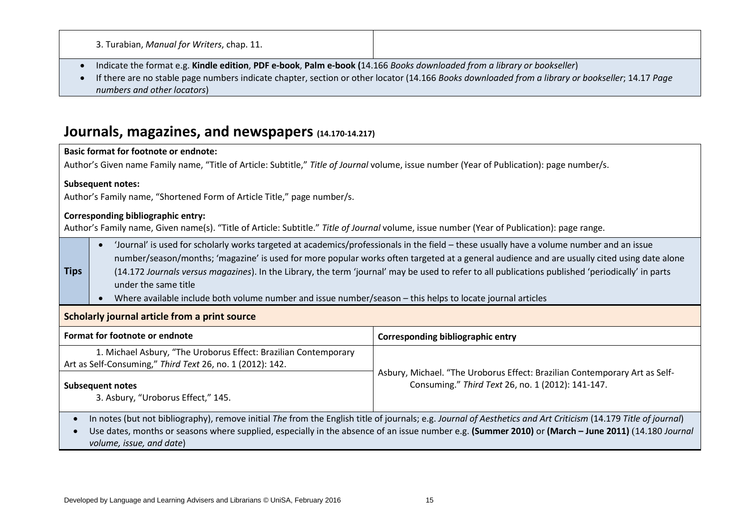| 3. Turabian, Manual for Writers, chap. 11. |  |
|--------------------------------------------|--|
|--------------------------------------------|--|

- Indicate the format e.g. **Kindle edition**, **PDF e-book**, **Palm e-book (**14.166 *Books downloaded from a library or bookseller*)
- If there are no stable page numbers indicate chapter, section or other locator (14.166 *Books downloaded from a library or bookseller*; 14.17 *Page numbers and other locators*)

## **Journals, magazines, and newspapers (14.170-14.217)**

|                                                                                                                                                                                                                                                                                                                                                   | <b>Basic format for footnote or endnote:</b>                                                                                                                                             |                                                                                                                                                                                                                                                                                                                                                                                                                                              |  |
|---------------------------------------------------------------------------------------------------------------------------------------------------------------------------------------------------------------------------------------------------------------------------------------------------------------------------------------------------|------------------------------------------------------------------------------------------------------------------------------------------------------------------------------------------|----------------------------------------------------------------------------------------------------------------------------------------------------------------------------------------------------------------------------------------------------------------------------------------------------------------------------------------------------------------------------------------------------------------------------------------------|--|
| Author's Given name Family name, "Title of Article: Subtitle," Title of Journal volume, issue number (Year of Publication): page number/s.                                                                                                                                                                                                        |                                                                                                                                                                                          |                                                                                                                                                                                                                                                                                                                                                                                                                                              |  |
|                                                                                                                                                                                                                                                                                                                                                   | <b>Subsequent notes:</b>                                                                                                                                                                 |                                                                                                                                                                                                                                                                                                                                                                                                                                              |  |
|                                                                                                                                                                                                                                                                                                                                                   | Author's Family name, "Shortened Form of Article Title," page number/s.                                                                                                                  |                                                                                                                                                                                                                                                                                                                                                                                                                                              |  |
|                                                                                                                                                                                                                                                                                                                                                   | <b>Corresponding bibliographic entry:</b><br>Author's Family name, Given name(s). "Title of Article: Subtitle." Title of Journal volume, issue number (Year of Publication): page range. |                                                                                                                                                                                                                                                                                                                                                                                                                                              |  |
| <b>Tips</b>                                                                                                                                                                                                                                                                                                                                       | $\bullet$<br>under the same title<br>Where available include both volume number and issue number/season – this helps to locate journal articles                                          | 'Journal' is used for scholarly works targeted at academics/professionals in the field - these usually have a volume number and an issue<br>number/season/months; 'magazine' is used for more popular works often targeted at a general audience and are usually cited using date alone<br>(14.172 Journals versus magazines). In the Library, the term 'journal' may be used to refer to all publications published 'periodically' in parts |  |
| Scholarly journal article from a print source                                                                                                                                                                                                                                                                                                     |                                                                                                                                                                                          |                                                                                                                                                                                                                                                                                                                                                                                                                                              |  |
|                                                                                                                                                                                                                                                                                                                                                   | Format for footnote or endnote                                                                                                                                                           | <b>Corresponding bibliographic entry</b>                                                                                                                                                                                                                                                                                                                                                                                                     |  |
|                                                                                                                                                                                                                                                                                                                                                   | 1. Michael Asbury, "The Uroborus Effect: Brazilian Contemporary<br>Art as Self-Consuming," Third Text 26, no. 1 (2012): 142.                                                             |                                                                                                                                                                                                                                                                                                                                                                                                                                              |  |
|                                                                                                                                                                                                                                                                                                                                                   | <b>Subsequent notes</b><br>3. Asbury, "Uroborus Effect," 145.                                                                                                                            | Asbury, Michael. "The Uroborus Effect: Brazilian Contemporary Art as Self-<br>Consuming." Third Text 26, no. 1 (2012): 141-147.                                                                                                                                                                                                                                                                                                              |  |
| In notes (but not bibliography), remove initial The from the English title of journals; e.g. Journal of Aesthetics and Art Criticism (14.179 Title of journal)<br>Use dates, months or seasons where supplied, especially in the absence of an issue number e.g. (Summer 2010) or (March - June 2011) (14.180 Journal<br>volume, issue, and date) |                                                                                                                                                                                          |                                                                                                                                                                                                                                                                                                                                                                                                                                              |  |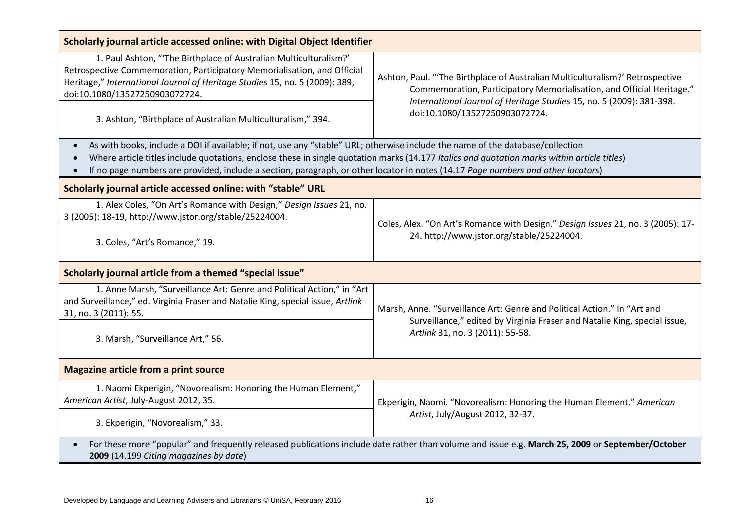| Scholarly journal article accessed online: with Digital Object Identifier                                                                                                                                                                                                                                                     |                                                                                                                                                                                                                                                                 |  |
|-------------------------------------------------------------------------------------------------------------------------------------------------------------------------------------------------------------------------------------------------------------------------------------------------------------------------------|-----------------------------------------------------------------------------------------------------------------------------------------------------------------------------------------------------------------------------------------------------------------|--|
| 1. Paul Ashton, "The Birthplace of Australian Multiculturalism?'<br>Retrospective Commemoration, Participatory Memorialisation, and Official<br>Heritage," International Journal of Heritage Studies 15, no. 5 (2009): 389,<br>doi:10.1080/13527250903072724.<br>3. Ashton, "Birthplace of Australian Multiculturalism," 394. | Ashton, Paul. "The Birthplace of Australian Multiculturalism?' Retrospective<br>Commemoration, Participatory Memorialisation, and Official Heritage."<br>International Journal of Heritage Studies 15, no. 5 (2009): 381-398.<br>doi:10.1080/13527250903072724. |  |
| As with books, include a DOI if available; if not, use any "stable" URL; otherwise include the name of the database/collection<br>$\bullet$                                                                                                                                                                                   |                                                                                                                                                                                                                                                                 |  |
| Where article titles include quotations, enclose these in single quotation marks (14.177 Italics and quotation marks within article titles)<br>If no page numbers are provided, include a section, paragraph, or other locator in notes (14.17 Page numbers and other locators)                                               |                                                                                                                                                                                                                                                                 |  |
| Scholarly journal article accessed online: with "stable" URL                                                                                                                                                                                                                                                                  |                                                                                                                                                                                                                                                                 |  |
| 1. Alex Coles, "On Art's Romance with Design," Design Issues 21, no.<br>3 (2005): 18-19, http://www.jstor.org/stable/25224004.                                                                                                                                                                                                | Coles, Alex. "On Art's Romance with Design." Design Issues 21, no. 3 (2005): 17-                                                                                                                                                                                |  |
| 3. Coles, "Art's Romance," 19.                                                                                                                                                                                                                                                                                                | 24. http://www.jstor.org/stable/25224004.                                                                                                                                                                                                                       |  |
| Scholarly journal article from a themed "special issue"                                                                                                                                                                                                                                                                       |                                                                                                                                                                                                                                                                 |  |
| 1. Anne Marsh, "Surveillance Art: Genre and Political Action," in "Art<br>and Surveillance," ed. Virginia Fraser and Natalie King, special issue, Artlink<br>31, no. 3 (2011): 55.                                                                                                                                            | Marsh, Anne. "Surveillance Art: Genre and Political Action." In "Art and                                                                                                                                                                                        |  |
| 3. Marsh, "Surveillance Art," 56.                                                                                                                                                                                                                                                                                             | Surveillance," edited by Virginia Fraser and Natalie King, special issue,<br>Artlink 31, no. 3 (2011): 55-58.                                                                                                                                                   |  |
| <b>Magazine article from a print source</b>                                                                                                                                                                                                                                                                                   |                                                                                                                                                                                                                                                                 |  |
| 1. Naomi Ekperigin, "Novorealism: Honoring the Human Element,"<br>American Artist, July-August 2012, 35.                                                                                                                                                                                                                      | Ekperigin, Naomi. "Novorealism: Honoring the Human Element." American<br>Artist, July/August 2012, 32-37.                                                                                                                                                       |  |
| 3. Ekperigin, "Novorealism," 33.                                                                                                                                                                                                                                                                                              |                                                                                                                                                                                                                                                                 |  |
| For these more "popular" and frequently released publications include date rather than volume and issue e.g. March 25, 2009 or September/October<br>2009 (14.199 Citing magazines by date)                                                                                                                                    |                                                                                                                                                                                                                                                                 |  |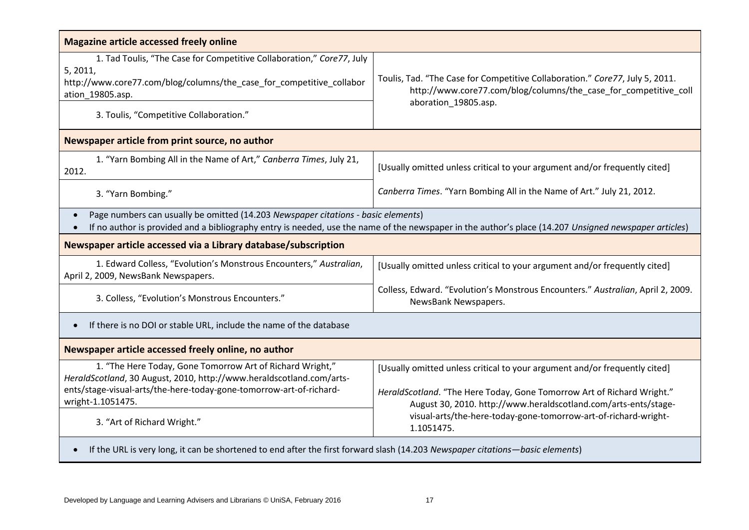| <b>Magazine article accessed freely online</b>                                                                                                                                                                                                          |                                                                                                                                                                                                                         |  |
|---------------------------------------------------------------------------------------------------------------------------------------------------------------------------------------------------------------------------------------------------------|-------------------------------------------------------------------------------------------------------------------------------------------------------------------------------------------------------------------------|--|
| 1. Tad Toulis, "The Case for Competitive Collaboration," Core77, July<br>5, 2011,<br>http://www.core77.com/blog/columns/the_case_for_competitive_collabor<br>ation 19805.asp.<br>3. Toulis, "Competitive Collaboration."                                | Toulis, Tad. "The Case for Competitive Collaboration." Core77, July 5, 2011.<br>http://www.core77.com/blog/columns/the_case_for_competitive_coll<br>aboration_19805.asp.                                                |  |
| Newspaper article from print source, no author                                                                                                                                                                                                          |                                                                                                                                                                                                                         |  |
| 1. "Yarn Bombing All in the Name of Art," Canberra Times, July 21,<br>2012.                                                                                                                                                                             | [Usually omitted unless critical to your argument and/or frequently cited]                                                                                                                                              |  |
| 3. "Yarn Bombing."                                                                                                                                                                                                                                      | Canberra Times. "Yarn Bombing All in the Name of Art." July 21, 2012.                                                                                                                                                   |  |
| Page numbers can usually be omitted (14.203 Newspaper citations - basic elements)<br>$\bullet$<br>If no author is provided and a bibliography entry is needed, use the name of the newspaper in the author's place (14.207 Unsigned newspaper articles) |                                                                                                                                                                                                                         |  |
| Newspaper article accessed via a Library database/subscription                                                                                                                                                                                          |                                                                                                                                                                                                                         |  |
| 1. Edward Colless, "Evolution's Monstrous Encounters," Australian,<br>April 2, 2009, NewsBank Newspapers.                                                                                                                                               | [Usually omitted unless critical to your argument and/or frequently cited]                                                                                                                                              |  |
| 3. Colless, "Evolution's Monstrous Encounters."                                                                                                                                                                                                         | Colless, Edward. "Evolution's Monstrous Encounters." Australian, April 2, 2009.<br>NewsBank Newspapers.                                                                                                                 |  |
| If there is no DOI or stable URL, include the name of the database                                                                                                                                                                                      |                                                                                                                                                                                                                         |  |
| Newspaper article accessed freely online, no author                                                                                                                                                                                                     |                                                                                                                                                                                                                         |  |
| 1. "The Here Today, Gone Tomorrow Art of Richard Wright,"<br>HeraldScotland, 30 August, 2010, http://www.heraldscotland.com/arts-<br>ents/stage-visual-arts/the-here-today-gone-tomorrow-art-of-richard-<br>wright-1.1051475.                           | [Usually omitted unless critical to your argument and/or frequently cited]<br>HeraldScotland. "The Here Today, Gone Tomorrow Art of Richard Wright."<br>August 30, 2010. http://www.heraldscotland.com/arts-ents/stage- |  |
| 3. "Art of Richard Wright."                                                                                                                                                                                                                             | visual-arts/the-here-today-gone-tomorrow-art-of-richard-wright-<br>1.1051475.                                                                                                                                           |  |
| If the URL is very long, it can be shortened to end after the first forward slash (14.203 Newspaper citations—basic elements)                                                                                                                           |                                                                                                                                                                                                                         |  |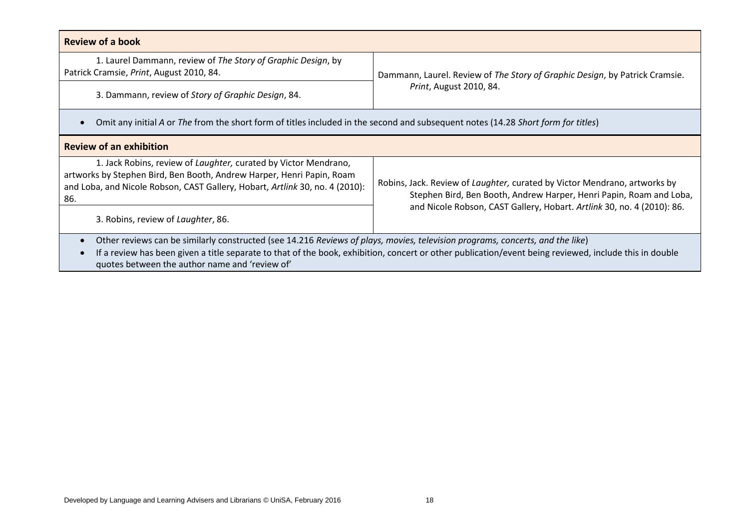| <b>Review of a book</b>                                                                                                                                                                                                                                                                                                                                |                                                                                                                                                  |  |
|--------------------------------------------------------------------------------------------------------------------------------------------------------------------------------------------------------------------------------------------------------------------------------------------------------------------------------------------------------|--------------------------------------------------------------------------------------------------------------------------------------------------|--|
| 1. Laurel Dammann, review of The Story of Graphic Design, by<br>Patrick Cramsie, Print, August 2010, 84.                                                                                                                                                                                                                                               | Dammann, Laurel. Review of The Story of Graphic Design, by Patrick Cramsie.                                                                      |  |
| 3. Dammann, review of Story of Graphic Design, 84.                                                                                                                                                                                                                                                                                                     | Print, August 2010, 84.                                                                                                                          |  |
| Omit any initial A or The from the short form of titles included in the second and subsequent notes (14.28 Short form for titles)                                                                                                                                                                                                                      |                                                                                                                                                  |  |
| <b>Review of an exhibition</b>                                                                                                                                                                                                                                                                                                                         |                                                                                                                                                  |  |
| 1. Jack Robins, review of Laughter, curated by Victor Mendrano,<br>artworks by Stephen Bird, Ben Booth, Andrew Harper, Henri Papin, Roam<br>and Loba, and Nicole Robson, CAST Gallery, Hobart, Artlink 30, no. 4 (2010):<br>86.                                                                                                                        | Robins, Jack. Review of Laughter, curated by Victor Mendrano, artworks by<br>Stephen Bird, Ben Booth, Andrew Harper, Henri Papin, Roam and Loba, |  |
| 3. Robins, review of Laughter, 86.                                                                                                                                                                                                                                                                                                                     | and Nicole Robson, CAST Gallery, Hobart. Artlink 30, no. 4 (2010): 86.                                                                           |  |
| Other reviews can be similarly constructed (see 14.216 Reviews of plays, movies, television programs, concerts, and the like)<br>$\bullet$<br>If a review has been given a title separate to that of the book, exhibition, concert or other publication/event being reviewed, include this in double<br>quotes between the author name and 'review of' |                                                                                                                                                  |  |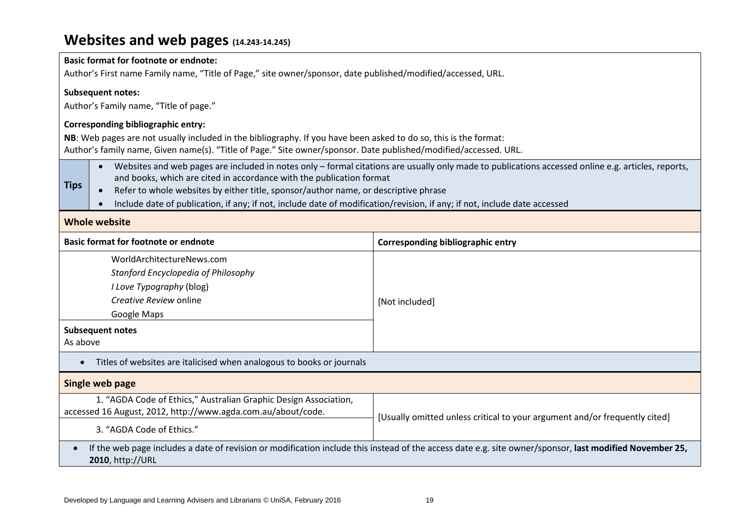# **Websites and web pages (14.243-14.245)**

| <b>Basic format for footnote or endnote:</b>                                                                                                                                |                                                                                                                                                                                                                                         |                |  |
|-----------------------------------------------------------------------------------------------------------------------------------------------------------------------------|-----------------------------------------------------------------------------------------------------------------------------------------------------------------------------------------------------------------------------------------|----------------|--|
| Author's First name Family name, "Title of Page," site owner/sponsor, date published/modified/accessed, URL.                                                                |                                                                                                                                                                                                                                         |                |  |
|                                                                                                                                                                             | <b>Subsequent notes:</b>                                                                                                                                                                                                                |                |  |
|                                                                                                                                                                             | Author's Family name, "Title of page."                                                                                                                                                                                                  |                |  |
|                                                                                                                                                                             | <b>Corresponding bibliographic entry:</b>                                                                                                                                                                                               |                |  |
|                                                                                                                                                                             | NB: Web pages are not usually included in the bibliography. If you have been asked to do so, this is the format:                                                                                                                        |                |  |
|                                                                                                                                                                             | Author's family name, Given name(s). "Title of Page." Site owner/sponsor. Date published/modified/accessed. URL.                                                                                                                        |                |  |
| <b>Tips</b>                                                                                                                                                                 | Websites and web pages are included in notes only - formal citations are usually only made to publications accessed online e.g. articles, reports,<br>$\bullet$<br>and books, which are cited in accordance with the publication format |                |  |
|                                                                                                                                                                             | Refer to whole websites by either title, sponsor/author name, or descriptive phrase<br>Include date of publication, if any; if not, include date of modification/revision, if any; if not, include date accessed                        |                |  |
|                                                                                                                                                                             |                                                                                                                                                                                                                                         |                |  |
| <b>Whole website</b>                                                                                                                                                        |                                                                                                                                                                                                                                         |                |  |
|                                                                                                                                                                             | <b>Basic format for footnote or endnote</b><br><b>Corresponding bibliographic entry</b>                                                                                                                                                 |                |  |
|                                                                                                                                                                             | WorldArchitectureNews.com                                                                                                                                                                                                               |                |  |
|                                                                                                                                                                             | Stanford Encyclopedia of Philosophy                                                                                                                                                                                                     |                |  |
|                                                                                                                                                                             | I Love Typography (blog)                                                                                                                                                                                                                |                |  |
|                                                                                                                                                                             | Creative Review online                                                                                                                                                                                                                  | [Not included] |  |
|                                                                                                                                                                             | Google Maps                                                                                                                                                                                                                             |                |  |
|                                                                                                                                                                             | <b>Subsequent notes</b>                                                                                                                                                                                                                 |                |  |
| As above                                                                                                                                                                    |                                                                                                                                                                                                                                         |                |  |
| Titles of websites are italicised when analogous to books or journals<br>$\bullet$                                                                                          |                                                                                                                                                                                                                                         |                |  |
| Single web page                                                                                                                                                             |                                                                                                                                                                                                                                         |                |  |
| 1. "AGDA Code of Ethics," Australian Graphic Design Association,                                                                                                            |                                                                                                                                                                                                                                         |                |  |
| accessed 16 August, 2012, http://www.agda.com.au/about/code.<br>[Usually omitted unless critical to your argument and/or frequently cited]                                  |                                                                                                                                                                                                                                         |                |  |
| 3. "AGDA Code of Ethics."                                                                                                                                                   |                                                                                                                                                                                                                                         |                |  |
| If the web page includes a date of revision or modification include this instead of the access date e.g. site owner/sponsor, last modified November 25,<br>2010, http://URL |                                                                                                                                                                                                                                         |                |  |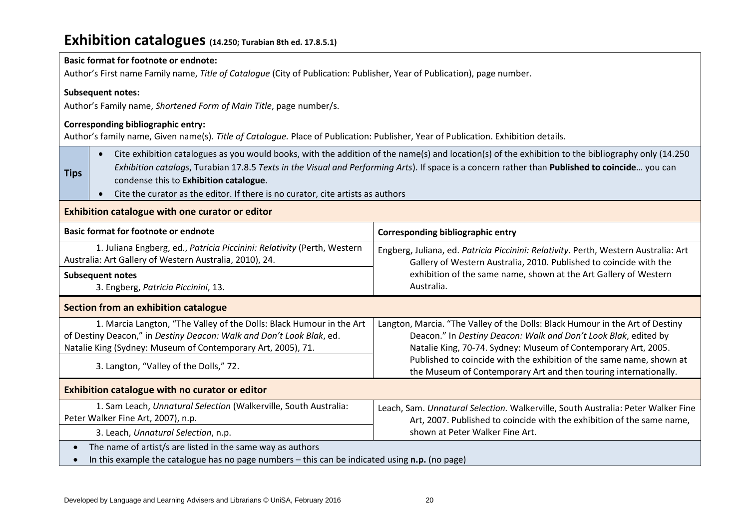# **Exhibition catalogues (14.250; Turabian 8th ed. 17.8.5.1)**

| <b>Basic format for footnote or endnote:</b><br>Author's First name Family name, Title of Catalogue (City of Publication: Publisher, Year of Publication), page number.                                                                                              |                                                                                                                                                                                                                                                                                                                                                                                                                                                |                                                                                                                                                                                                                    |  |
|----------------------------------------------------------------------------------------------------------------------------------------------------------------------------------------------------------------------------------------------------------------------|------------------------------------------------------------------------------------------------------------------------------------------------------------------------------------------------------------------------------------------------------------------------------------------------------------------------------------------------------------------------------------------------------------------------------------------------|--------------------------------------------------------------------------------------------------------------------------------------------------------------------------------------------------------------------|--|
|                                                                                                                                                                                                                                                                      |                                                                                                                                                                                                                                                                                                                                                                                                                                                |                                                                                                                                                                                                                    |  |
|                                                                                                                                                                                                                                                                      | <b>Subsequent notes:</b>                                                                                                                                                                                                                                                                                                                                                                                                                       |                                                                                                                                                                                                                    |  |
|                                                                                                                                                                                                                                                                      | Author's Family name, Shortened Form of Main Title, page number/s.                                                                                                                                                                                                                                                                                                                                                                             |                                                                                                                                                                                                                    |  |
|                                                                                                                                                                                                                                                                      | <b>Corresponding bibliographic entry:</b><br>Author's family name, Given name(s). Title of Catalogue. Place of Publication: Publisher, Year of Publication. Exhibition details.                                                                                                                                                                                                                                                                |                                                                                                                                                                                                                    |  |
| <b>Tips</b>                                                                                                                                                                                                                                                          | Cite exhibition catalogues as you would books, with the addition of the name(s) and location(s) of the exhibition to the bibliography only (14.250<br>$\bullet$<br>Exhibition catalogs, Turabian 17.8.5 Texts in the Visual and Performing Arts). If space is a concern rather than Published to coincide you can<br>condense this to Exhibition catalogue.<br>Cite the curator as the editor. If there is no curator, cite artists as authors |                                                                                                                                                                                                                    |  |
| Exhibition catalogue with one curator or editor                                                                                                                                                                                                                      |                                                                                                                                                                                                                                                                                                                                                                                                                                                |                                                                                                                                                                                                                    |  |
|                                                                                                                                                                                                                                                                      | <b>Basic format for footnote or endnote</b><br><b>Corresponding bibliographic entry</b>                                                                                                                                                                                                                                                                                                                                                        |                                                                                                                                                                                                                    |  |
|                                                                                                                                                                                                                                                                      | 1. Juliana Engberg, ed., Patricia Piccinini: Relativity (Perth, Western<br>Engberg, Juliana, ed. Patricia Piccinini: Relativity. Perth, Western Australia: Art<br>Australia: Art Gallery of Western Australia, 2010), 24.<br>Gallery of Western Australia, 2010. Published to coincide with the                                                                                                                                                |                                                                                                                                                                                                                    |  |
| <b>Subsequent notes</b><br>Australia.<br>3. Engberg, Patricia Piccinini, 13.                                                                                                                                                                                         |                                                                                                                                                                                                                                                                                                                                                                                                                                                | exhibition of the same name, shown at the Art Gallery of Western                                                                                                                                                   |  |
| Section from an exhibition catalogue                                                                                                                                                                                                                                 |                                                                                                                                                                                                                                                                                                                                                                                                                                                |                                                                                                                                                                                                                    |  |
|                                                                                                                                                                                                                                                                      | 1. Marcia Langton, "The Valley of the Dolls: Black Humour in the Art<br>of Destiny Deacon," in Destiny Deacon: Walk and Don't Look Blak, ed.<br>Natalie King (Sydney: Museum of Contemporary Art, 2005), 71.                                                                                                                                                                                                                                   | Langton, Marcia. "The Valley of the Dolls: Black Humour in the Art of Destiny<br>Deacon." In Destiny Deacon: Walk and Don't Look Blak, edited by<br>Natalie King, 70-74. Sydney: Museum of Contemporary Art, 2005. |  |
|                                                                                                                                                                                                                                                                      | Published to coincide with the exhibition of the same name, shown at<br>3. Langton, "Valley of the Dolls," 72.<br>the Museum of Contemporary Art and then touring internationally.                                                                                                                                                                                                                                                             |                                                                                                                                                                                                                    |  |
| Exhibition catalogue with no curator or editor                                                                                                                                                                                                                       |                                                                                                                                                                                                                                                                                                                                                                                                                                                |                                                                                                                                                                                                                    |  |
| 1. Sam Leach, Unnatural Selection (Walkerville, South Australia:<br>Leach, Sam. Unnatural Selection. Walkerville, South Australia: Peter Walker Fine<br>Peter Walker Fine Art, 2007), n.p.<br>Art, 2007. Published to coincide with the exhibition of the same name, |                                                                                                                                                                                                                                                                                                                                                                                                                                                |                                                                                                                                                                                                                    |  |
|                                                                                                                                                                                                                                                                      | shown at Peter Walker Fine Art.<br>3. Leach, Unnatural Selection, n.p.                                                                                                                                                                                                                                                                                                                                                                         |                                                                                                                                                                                                                    |  |
| The name of artist/s are listed in the same way as authors<br>In this example the catalogue has no page numbers $-$ this can be indicated using $n.p.$ (no page)                                                                                                     |                                                                                                                                                                                                                                                                                                                                                                                                                                                |                                                                                                                                                                                                                    |  |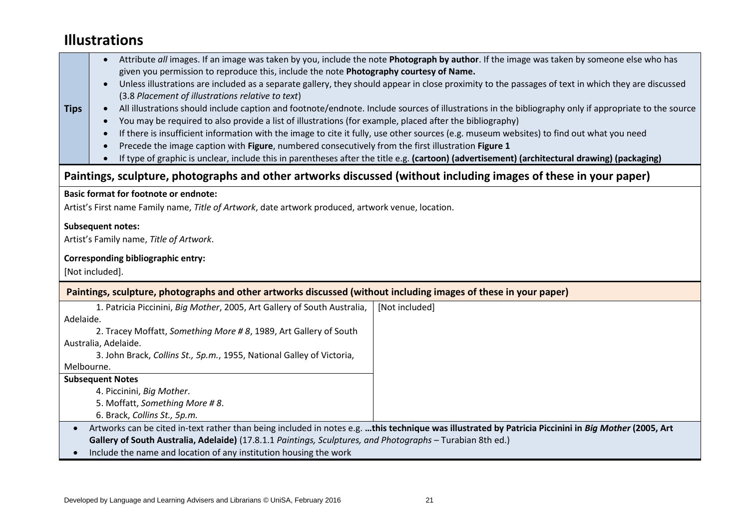# **Illustrations**

| <b>Tips</b>                                                                                                                                        | Attribute all images. If an image was taken by you, include the note Photograph by author. If the image was taken by someone else who has<br>given you permission to reproduce this, include the note Photography courtesy of Name.<br>Unless illustrations are included as a separate gallery, they should appear in close proximity to the passages of text in which they are discussed<br>(3.8 Placement of illustrations relative to text)<br>All illustrations should include caption and footnote/endnote. Include sources of illustrations in the bibliography only if appropriate to the source<br>You may be required to also provide a list of illustrations (for example, placed after the bibliography)<br>$\bullet$<br>If there is insufficient information with the image to cite it fully, use other sources (e.g. museum websites) to find out what you need<br>Precede the image caption with Figure, numbered consecutively from the first illustration Figure 1<br>If type of graphic is unclear, include this in parentheses after the title e.g. (cartoon) (advertisement) (architectural drawing) (packaging) |                                                                                                                                                      |  |  |
|----------------------------------------------------------------------------------------------------------------------------------------------------|-------------------------------------------------------------------------------------------------------------------------------------------------------------------------------------------------------------------------------------------------------------------------------------------------------------------------------------------------------------------------------------------------------------------------------------------------------------------------------------------------------------------------------------------------------------------------------------------------------------------------------------------------------------------------------------------------------------------------------------------------------------------------------------------------------------------------------------------------------------------------------------------------------------------------------------------------------------------------------------------------------------------------------------------------------------------------------------------------------------------------------------|------------------------------------------------------------------------------------------------------------------------------------------------------|--|--|
|                                                                                                                                                    | Paintings, sculpture, photographs and other artworks discussed (without including images of these in your paper)                                                                                                                                                                                                                                                                                                                                                                                                                                                                                                                                                                                                                                                                                                                                                                                                                                                                                                                                                                                                                    |                                                                                                                                                      |  |  |
| <b>Basic format for footnote or endnote:</b><br>Artist's First name Family name, Title of Artwork, date artwork produced, artwork venue, location. |                                                                                                                                                                                                                                                                                                                                                                                                                                                                                                                                                                                                                                                                                                                                                                                                                                                                                                                                                                                                                                                                                                                                     |                                                                                                                                                      |  |  |
| <b>Subsequent notes:</b><br>Artist's Family name, Title of Artwork.                                                                                |                                                                                                                                                                                                                                                                                                                                                                                                                                                                                                                                                                                                                                                                                                                                                                                                                                                                                                                                                                                                                                                                                                                                     |                                                                                                                                                      |  |  |
| Corresponding bibliographic entry:<br>[Not included].                                                                                              |                                                                                                                                                                                                                                                                                                                                                                                                                                                                                                                                                                                                                                                                                                                                                                                                                                                                                                                                                                                                                                                                                                                                     |                                                                                                                                                      |  |  |
| Paintings, sculpture, photographs and other artworks discussed (without including images of these in your paper)                                   |                                                                                                                                                                                                                                                                                                                                                                                                                                                                                                                                                                                                                                                                                                                                                                                                                                                                                                                                                                                                                                                                                                                                     |                                                                                                                                                      |  |  |
| Adelaide.<br>Melbourne.                                                                                                                            | 1. Patricia Piccinini, Big Mother, 2005, Art Gallery of South Australia,<br>2. Tracey Moffatt, Something More #8, 1989, Art Gallery of South<br>Australia, Adelaide.<br>3. John Brack, Collins St., 5p.m., 1955, National Galley of Victoria,<br><b>Subsequent Notes</b><br>4. Piccinini, Big Mother.<br>5. Moffatt, Something More #8.<br>6. Brack, Collins St., 5p.m.                                                                                                                                                                                                                                                                                                                                                                                                                                                                                                                                                                                                                                                                                                                                                             | [Not included]                                                                                                                                       |  |  |
| $\bullet$                                                                                                                                          | Gallery of South Australia, Adelaide) (17.8.1.1 Paintings, Sculptures, and Photographs - Turabian 8th ed.)<br>Include the name and location of any institution housing the work                                                                                                                                                                                                                                                                                                                                                                                                                                                                                                                                                                                                                                                                                                                                                                                                                                                                                                                                                     | Artworks can be cited in-text rather than being included in notes e.g. this technique was illustrated by Patricia Piccinini in Big Mother (2005, Art |  |  |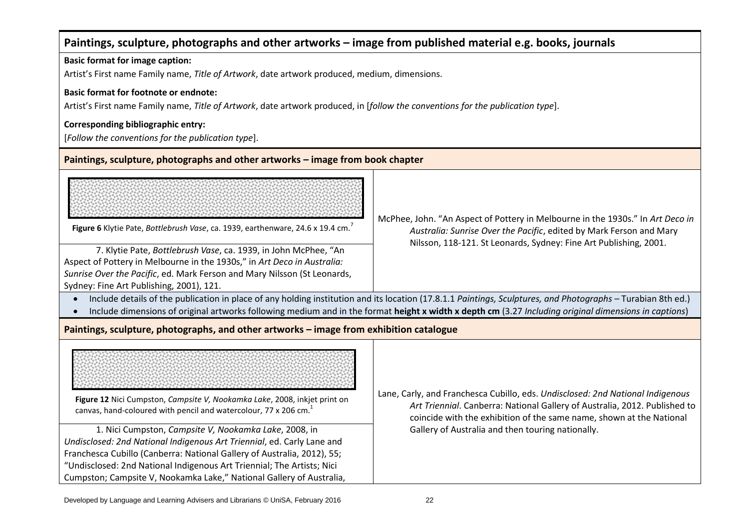| Paintings, sculpture, photographs and other artworks - image from published material e.g. books, journals                                                                                                                                                                                                                                                                                                                                                                                                                 |                                                                                                                                                                                                                                                                                           |  |  |
|---------------------------------------------------------------------------------------------------------------------------------------------------------------------------------------------------------------------------------------------------------------------------------------------------------------------------------------------------------------------------------------------------------------------------------------------------------------------------------------------------------------------------|-------------------------------------------------------------------------------------------------------------------------------------------------------------------------------------------------------------------------------------------------------------------------------------------|--|--|
| <b>Basic format for image caption:</b>                                                                                                                                                                                                                                                                                                                                                                                                                                                                                    |                                                                                                                                                                                                                                                                                           |  |  |
| Artist's First name Family name, Title of Artwork, date artwork produced, medium, dimensions.                                                                                                                                                                                                                                                                                                                                                                                                                             |                                                                                                                                                                                                                                                                                           |  |  |
| <b>Basic format for footnote or endnote:</b>                                                                                                                                                                                                                                                                                                                                                                                                                                                                              |                                                                                                                                                                                                                                                                                           |  |  |
| Artist's First name Family name, Title of Artwork, date artwork produced, in [follow the conventions for the publication type].                                                                                                                                                                                                                                                                                                                                                                                           |                                                                                                                                                                                                                                                                                           |  |  |
| Corresponding bibliographic entry:                                                                                                                                                                                                                                                                                                                                                                                                                                                                                        |                                                                                                                                                                                                                                                                                           |  |  |
| [Follow the conventions for the publication type].                                                                                                                                                                                                                                                                                                                                                                                                                                                                        |                                                                                                                                                                                                                                                                                           |  |  |
|                                                                                                                                                                                                                                                                                                                                                                                                                                                                                                                           |                                                                                                                                                                                                                                                                                           |  |  |
| Paintings, sculpture, photographs and other artworks - image from book chapter                                                                                                                                                                                                                                                                                                                                                                                                                                            |                                                                                                                                                                                                                                                                                           |  |  |
|                                                                                                                                                                                                                                                                                                                                                                                                                                                                                                                           |                                                                                                                                                                                                                                                                                           |  |  |
| Figure 6 Klytie Pate, Bottlebrush Vase, ca. 1939, earthenware, 24.6 x 19.4 cm.                                                                                                                                                                                                                                                                                                                                                                                                                                            | McPhee, John. "An Aspect of Pottery in Melbourne in the 1930s." In Art Deco in<br>Australia: Sunrise Over the Pacific, edited by Mark Ferson and Mary                                                                                                                                     |  |  |
| 7. Klytie Pate, Bottlebrush Vase, ca. 1939, in John McPhee, "An                                                                                                                                                                                                                                                                                                                                                                                                                                                           | Nilsson, 118-121. St Leonards, Sydney: Fine Art Publishing, 2001.                                                                                                                                                                                                                         |  |  |
| Aspect of Pottery in Melbourne in the 1930s," in Art Deco in Australia:                                                                                                                                                                                                                                                                                                                                                                                                                                                   |                                                                                                                                                                                                                                                                                           |  |  |
| Sunrise Over the Pacific, ed. Mark Ferson and Mary Nilsson (St Leonards,                                                                                                                                                                                                                                                                                                                                                                                                                                                  |                                                                                                                                                                                                                                                                                           |  |  |
| Sydney: Fine Art Publishing, 2001), 121.                                                                                                                                                                                                                                                                                                                                                                                                                                                                                  |                                                                                                                                                                                                                                                                                           |  |  |
|                                                                                                                                                                                                                                                                                                                                                                                                                                                                                                                           | Include details of the publication in place of any holding institution and its location (17.8.1.1 Paintings, Sculptures, and Photographs - Turabian 8th ed.)                                                                                                                              |  |  |
|                                                                                                                                                                                                                                                                                                                                                                                                                                                                                                                           | Include dimensions of original artworks following medium and in the format height x width x depth cm (3.27 Including original dimensions in captions)                                                                                                                                     |  |  |
| Paintings, sculpture, photographs, and other artworks - image from exhibition catalogue                                                                                                                                                                                                                                                                                                                                                                                                                                   |                                                                                                                                                                                                                                                                                           |  |  |
| Figure 12 Nici Cumpston, Campsite V, Nookamka Lake, 2008, inkjet print on<br>canvas, hand-coloured with pencil and watercolour, 77 x 206 cm. <sup>1</sup><br>1. Nici Cumpston, Campsite V, Nookamka Lake, 2008, in<br>Undisclosed: 2nd National Indigenous Art Triennial, ed. Carly Lane and<br>Franchesca Cubillo (Canberra: National Gallery of Australia, 2012), 55;<br>"Undisclosed: 2nd National Indigenous Art Triennial; The Artists; Nici<br>Cumpston; Campsite V, Nookamka Lake," National Gallery of Australia, | Lane, Carly, and Franchesca Cubillo, eds. Undisclosed: 2nd National Indigenous<br>Art Triennial. Canberra: National Gallery of Australia, 2012. Published to<br>coincide with the exhibition of the same name, shown at the National<br>Gallery of Australia and then touring nationally. |  |  |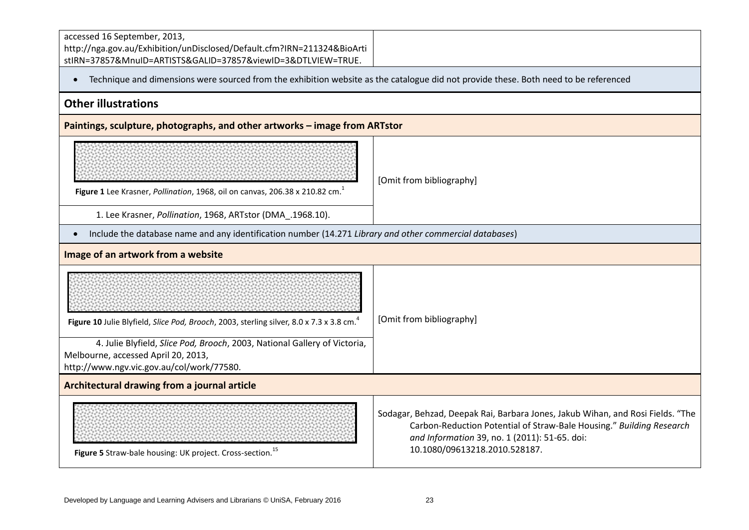| accessed 16 September, 2013,<br>http://nga.gov.au/Exhibition/unDisclosed/Default.cfm?IRN=211324&BioArti<br>stIRN=37857&MnuID=ARTISTS&GALID=37857&viewID=3&DTLVIEW=TRUE. |                                                                                                                                                                                                                                          |  |
|-------------------------------------------------------------------------------------------------------------------------------------------------------------------------|------------------------------------------------------------------------------------------------------------------------------------------------------------------------------------------------------------------------------------------|--|
| Technique and dimensions were sourced from the exhibition website as the catalogue did not provide these. Both need to be referenced<br>$\bullet$                       |                                                                                                                                                                                                                                          |  |
| <b>Other illustrations</b>                                                                                                                                              |                                                                                                                                                                                                                                          |  |
| Paintings, sculpture, photographs, and other artworks - image from ARTstor                                                                                              |                                                                                                                                                                                                                                          |  |
| Figure 1 Lee Krasner, Pollination, 1968, oil on canvas, 206.38 x 210.82 cm. <sup>1</sup><br>1. Lee Krasner, Pollination, 1968, ARTstor (DMA_.1968.10).                  | [Omit from bibliography]                                                                                                                                                                                                                 |  |
| Include the database name and any identification number (14.271 Library and other commercial databases)<br>$\bullet$                                                    |                                                                                                                                                                                                                                          |  |
| Image of an artwork from a website                                                                                                                                      |                                                                                                                                                                                                                                          |  |
| Figure 10 Julie Blyfield, Slice Pod, Brooch, 2003, sterling silver, 8.0 x 7.3 x 3.8 cm. <sup>4</sup>                                                                    | [Omit from bibliography]                                                                                                                                                                                                                 |  |
| 4. Julie Blyfield, Slice Pod, Brooch, 2003, National Gallery of Victoria,<br>Melbourne, accessed April 20, 2013,<br>http://www.ngv.vic.gov.au/col/work/77580.           |                                                                                                                                                                                                                                          |  |
| Architectural drawing from a journal article                                                                                                                            |                                                                                                                                                                                                                                          |  |
| Figure 5 Straw-bale housing: UK project. Cross-section. <sup>15</sup>                                                                                                   | Sodagar, Behzad, Deepak Rai, Barbara Jones, Jakub Wihan, and Rosi Fields. "The<br>Carbon-Reduction Potential of Straw-Bale Housing." Building Research<br>and Information 39, no. 1 (2011): 51-65. doi:<br>10.1080/09613218.2010.528187. |  |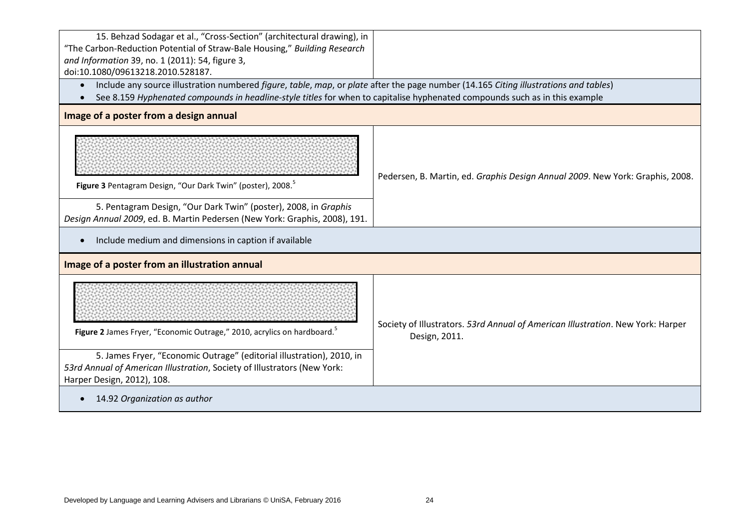| 15. Behzad Sodagar et al., "Cross-Section" (architectural drawing), in<br>"The Carbon-Reduction Potential of Straw-Bale Housing," Building Research<br>and Information 39, no. 1 (2011): 54, figure 3,<br>doi:10.1080/09613218.2010.528187.                         |                                                                                                  |  |  |
|---------------------------------------------------------------------------------------------------------------------------------------------------------------------------------------------------------------------------------------------------------------------|--------------------------------------------------------------------------------------------------|--|--|
| Include any source illustration numbered figure, table, map, or plate after the page number (14.165 Citing illustrations and tables)<br>See 8.159 Hyphenated compounds in headline-style titles for when to capitalise hyphenated compounds such as in this example |                                                                                                  |  |  |
| Image of a poster from a design annual                                                                                                                                                                                                                              |                                                                                                  |  |  |
| Figure 3 Pentagram Design, "Our Dark Twin" (poster), 2008. <sup>5</sup>                                                                                                                                                                                             | Pedersen, B. Martin, ed. Graphis Design Annual 2009. New York: Graphis, 2008.                    |  |  |
| 5. Pentagram Design, "Our Dark Twin" (poster), 2008, in Graphis<br>Design Annual 2009, ed. B. Martin Pedersen (New York: Graphis, 2008), 191.                                                                                                                       |                                                                                                  |  |  |
| Include medium and dimensions in caption if available                                                                                                                                                                                                               |                                                                                                  |  |  |
| Image of a poster from an illustration annual                                                                                                                                                                                                                       |                                                                                                  |  |  |
| Figure 2 James Fryer, "Economic Outrage," 2010, acrylics on hardboard. <sup>5</sup>                                                                                                                                                                                 | Society of Illustrators. 53rd Annual of American Illustration. New York: Harper<br>Design, 2011. |  |  |
| 5. James Fryer, "Economic Outrage" (editorial illustration), 2010, in<br>53rd Annual of American Illustration, Society of Illustrators (New York:<br>Harper Design, 2012), 108.                                                                                     |                                                                                                  |  |  |
| 14.92 Organization as author                                                                                                                                                                                                                                        |                                                                                                  |  |  |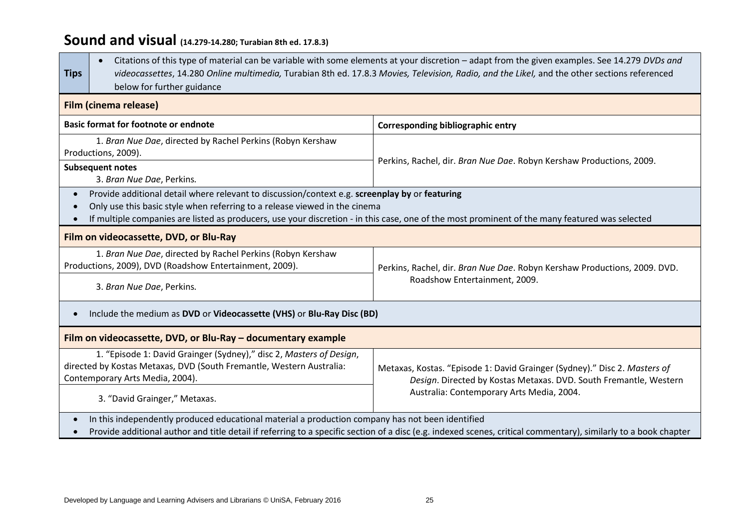# **Sound and visual (14.279-14.280; Turabian 8th ed. 17.8.3)**

| <b>Tips</b>                                                                                                                                                                                                                                                                                                                                              | Citations of this type of material can be variable with some elements at your discretion - adapt from the given examples. See 14.279 DVDs and<br>videocassettes, 14.280 Online multimedia, Turabian 8th ed. 17.8.3 Movies, Television, Radio, and the Likel, and the other sections referenced<br>below for further guidance |                                                                                                                                                |  |  |
|----------------------------------------------------------------------------------------------------------------------------------------------------------------------------------------------------------------------------------------------------------------------------------------------------------------------------------------------------------|------------------------------------------------------------------------------------------------------------------------------------------------------------------------------------------------------------------------------------------------------------------------------------------------------------------------------|------------------------------------------------------------------------------------------------------------------------------------------------|--|--|
| <b>Film (cinema release)</b>                                                                                                                                                                                                                                                                                                                             |                                                                                                                                                                                                                                                                                                                              |                                                                                                                                                |  |  |
| <b>Basic format for footnote or endnote</b><br><b>Corresponding bibliographic entry</b>                                                                                                                                                                                                                                                                  |                                                                                                                                                                                                                                                                                                                              |                                                                                                                                                |  |  |
| Productions, 2009).                                                                                                                                                                                                                                                                                                                                      | 1. Bran Nue Dae, directed by Rachel Perkins (Robyn Kershaw                                                                                                                                                                                                                                                                   |                                                                                                                                                |  |  |
| <b>Subsequent notes</b><br>3. Bran Nue Dae, Perkins.                                                                                                                                                                                                                                                                                                     |                                                                                                                                                                                                                                                                                                                              | Perkins, Rachel, dir. Bran Nue Dae. Robyn Kershaw Productions, 2009.                                                                           |  |  |
| Provide additional detail where relevant to discussion/context e.g. screenplay by or featuring<br>$\bullet$<br>Only use this basic style when referring to a release viewed in the cinema<br>$\bullet$<br>If multiple companies are listed as producers, use your discretion - in this case, one of the most prominent of the many featured was selected |                                                                                                                                                                                                                                                                                                                              |                                                                                                                                                |  |  |
|                                                                                                                                                                                                                                                                                                                                                          | Film on videocassette, DVD, or Blu-Ray                                                                                                                                                                                                                                                                                       |                                                                                                                                                |  |  |
|                                                                                                                                                                                                                                                                                                                                                          | 1. Bran Nue Dae, directed by Rachel Perkins (Robyn Kershaw<br>Productions, 2009), DVD (Roadshow Entertainment, 2009).<br>Perkins, Rachel, dir. Bran Nue Dae. Robyn Kershaw Productions, 2009. DVD.                                                                                                                           |                                                                                                                                                |  |  |
| 3. Bran Nue Dae, Perkins.                                                                                                                                                                                                                                                                                                                                |                                                                                                                                                                                                                                                                                                                              | Roadshow Entertainment, 2009.                                                                                                                  |  |  |
| Include the medium as DVD or Videocassette (VHS) or Blu-Ray Disc (BD)<br>$\bullet$                                                                                                                                                                                                                                                                       |                                                                                                                                                                                                                                                                                                                              |                                                                                                                                                |  |  |
| Film on videocassette, DVD, or Blu-Ray - documentary example                                                                                                                                                                                                                                                                                             |                                                                                                                                                                                                                                                                                                                              |                                                                                                                                                |  |  |
| Contemporary Arts Media, 2004).                                                                                                                                                                                                                                                                                                                          | 1. "Episode 1: David Grainger (Sydney)," disc 2, Masters of Design,<br>directed by Kostas Metaxas, DVD (South Fremantle, Western Australia:                                                                                                                                                                                  | Metaxas, Kostas. "Episode 1: David Grainger (Sydney)." Disc 2. Masters of<br>Design. Directed by Kostas Metaxas. DVD. South Fremantle, Western |  |  |
| Australia: Contemporary Arts Media, 2004.<br>3. "David Grainger," Metaxas.                                                                                                                                                                                                                                                                               |                                                                                                                                                                                                                                                                                                                              |                                                                                                                                                |  |  |
| In this independently produced educational material a production company has not been identified<br>$\bullet$<br>Provide additional author and title detail if referring to a specific section of a disc (e.g. indexed scenes, critical commentary), similarly to a book chapter<br>$\bullet$                                                            |                                                                                                                                                                                                                                                                                                                              |                                                                                                                                                |  |  |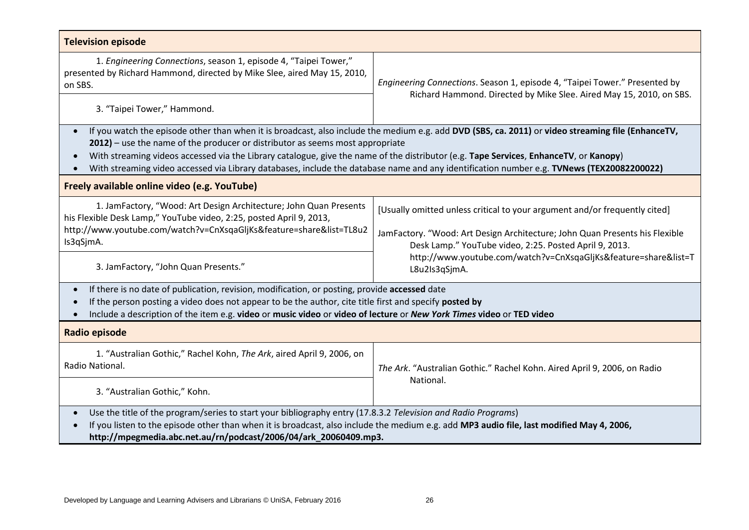| <b>Television episode</b>                                                                                                                                                                                                                                                                                                                                                                                                                                                                                                                 |                                                                                                                                                                                                                                                                                        |  |  |
|-------------------------------------------------------------------------------------------------------------------------------------------------------------------------------------------------------------------------------------------------------------------------------------------------------------------------------------------------------------------------------------------------------------------------------------------------------------------------------------------------------------------------------------------|----------------------------------------------------------------------------------------------------------------------------------------------------------------------------------------------------------------------------------------------------------------------------------------|--|--|
| 1. Engineering Connections, season 1, episode 4, "Taipei Tower,"<br>presented by Richard Hammond, directed by Mike Slee, aired May 15, 2010,<br>on SBS.                                                                                                                                                                                                                                                                                                                                                                                   | Engineering Connections. Season 1, episode 4, "Taipei Tower." Presented by                                                                                                                                                                                                             |  |  |
| 3. "Taipei Tower," Hammond.                                                                                                                                                                                                                                                                                                                                                                                                                                                                                                               | Richard Hammond. Directed by Mike Slee. Aired May 15, 2010, on SBS.                                                                                                                                                                                                                    |  |  |
| If you watch the episode other than when it is broadcast, also include the medium e.g. add DVD (SBS, ca. 2011) or video streaming file (EnhanceTV,<br>$\bullet$<br>$2012$ ) – use the name of the producer or distributor as seems most appropriate<br>With streaming videos accessed via the Library catalogue, give the name of the distributor (e.g. Tape Services, EnhanceTV, or Kanopy)<br>With streaming video accessed via Library databases, include the database name and any identification number e.g. TVNews (TEX20082200022) |                                                                                                                                                                                                                                                                                        |  |  |
| Freely available online video (e.g. YouTube)                                                                                                                                                                                                                                                                                                                                                                                                                                                                                              |                                                                                                                                                                                                                                                                                        |  |  |
| 1. JamFactory, "Wood: Art Design Architecture; John Quan Presents<br>his Flexible Desk Lamp," YouTube video, 2:25, posted April 9, 2013,<br>http://www.youtube.com/watch?v=CnXsqaGljKs&feature=share&list=TL8u2<br>Is3qSjmA.<br>3. JamFactory, "John Quan Presents."                                                                                                                                                                                                                                                                      | [Usually omitted unless critical to your argument and/or frequently cited]<br>JamFactory. "Wood: Art Design Architecture; John Quan Presents his Flexible<br>Desk Lamp." YouTube video, 2:25. Posted April 9, 2013.<br>http://www.youtube.com/watch?v=CnXsqaGljKs&feature=share&list=T |  |  |
| L8u2Is3qSjmA.<br>If there is no date of publication, revision, modification, or posting, provide accessed date<br>If the person posting a video does not appear to be the author, cite title first and specify posted by<br>Include a description of the item e.g. video or music video or video of lecture or New York Times video or TED video                                                                                                                                                                                          |                                                                                                                                                                                                                                                                                        |  |  |
| Radio episode                                                                                                                                                                                                                                                                                                                                                                                                                                                                                                                             |                                                                                                                                                                                                                                                                                        |  |  |
| 1. "Australian Gothic," Rachel Kohn, The Ark, aired April 9, 2006, on<br>Radio National.                                                                                                                                                                                                                                                                                                                                                                                                                                                  | The Ark. "Australian Gothic." Rachel Kohn. Aired April 9, 2006, on Radio                                                                                                                                                                                                               |  |  |
| 3. "Australian Gothic," Kohn.                                                                                                                                                                                                                                                                                                                                                                                                                                                                                                             | National.                                                                                                                                                                                                                                                                              |  |  |
| Use the title of the program/series to start your bibliography entry (17.8.3.2 Television and Radio Programs)<br>If you listen to the episode other than when it is broadcast, also include the medium e.g. add MP3 audio file, last modified May 4, 2006,<br>http://mpegmedia.abc.net.au/rn/podcast/2006/04/ark_20060409.mp3.                                                                                                                                                                                                            |                                                                                                                                                                                                                                                                                        |  |  |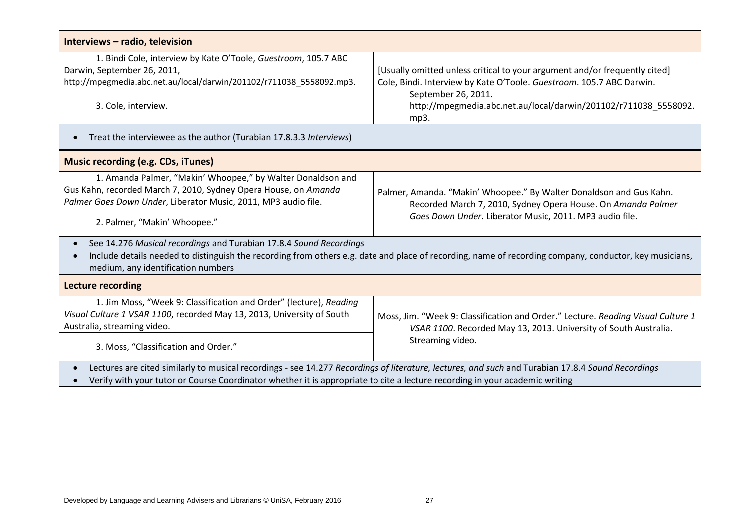| Interviews - radio, television                                                                                                                                                                                                                                                                |                                                                                                                                                                                                |  |  |
|-----------------------------------------------------------------------------------------------------------------------------------------------------------------------------------------------------------------------------------------------------------------------------------------------|------------------------------------------------------------------------------------------------------------------------------------------------------------------------------------------------|--|--|
| 1. Bindi Cole, interview by Kate O'Toole, Guestroom, 105.7 ABC<br>Darwin, September 26, 2011,<br>http://mpegmedia.abc.net.au/local/darwin/201102/r711038_5558092.mp3.                                                                                                                         | [Usually omitted unless critical to your argument and/or frequently cited]<br>Cole, Bindi. Interview by Kate O'Toole. Guestroom. 105.7 ABC Darwin.                                             |  |  |
| 3. Cole, interview.                                                                                                                                                                                                                                                                           | September 26, 2011.<br>http://mpegmedia.abc.net.au/local/darwin/201102/r711038_5558092.<br>mp3.                                                                                                |  |  |
| Treat the interviewee as the author (Turabian 17.8.3.3 Interviews)<br>$\bullet$                                                                                                                                                                                                               |                                                                                                                                                                                                |  |  |
| <b>Music recording (e.g. CDs, iTunes)</b>                                                                                                                                                                                                                                                     |                                                                                                                                                                                                |  |  |
| 1. Amanda Palmer, "Makin' Whoopee," by Walter Donaldson and<br>Gus Kahn, recorded March 7, 2010, Sydney Opera House, on Amanda<br>Palmer Goes Down Under, Liberator Music, 2011, MP3 audio file.                                                                                              | Palmer, Amanda. "Makin' Whoopee." By Walter Donaldson and Gus Kahn.<br>Recorded March 7, 2010, Sydney Opera House. On Amanda Palmer<br>Goes Down Under. Liberator Music, 2011. MP3 audio file. |  |  |
| 2. Palmer, "Makin' Whoopee."                                                                                                                                                                                                                                                                  |                                                                                                                                                                                                |  |  |
| See 14.276 Musical recordings and Turabian 17.8.4 Sound Recordings<br>$\bullet$<br>Include details needed to distinguish the recording from others e.g. date and place of recording, name of recording company, conductor, key musicians,<br>$\bullet$<br>medium, any identification numbers  |                                                                                                                                                                                                |  |  |
| <b>Lecture recording</b>                                                                                                                                                                                                                                                                      |                                                                                                                                                                                                |  |  |
| 1. Jim Moss, "Week 9: Classification and Order" (lecture), Reading<br>Visual Culture 1 VSAR 1100, recorded May 13, 2013, University of South<br>Australia, streaming video.                                                                                                                   | Moss, Jim. "Week 9: Classification and Order." Lecture. Reading Visual Culture 1<br>VSAR 1100. Recorded May 13, 2013. University of South Australia.<br>Streaming video.                       |  |  |
| 3. Moss, "Classification and Order."                                                                                                                                                                                                                                                          |                                                                                                                                                                                                |  |  |
| Lectures are cited similarly to musical recordings - see 14.277 Recordings of literature, lectures, and such and Turabian 17.8.4 Sound Recordings<br>$\bullet$<br>Verify with your tutor or Course Coordinator whether it is appropriate to cite a lecture recording in your academic writing |                                                                                                                                                                                                |  |  |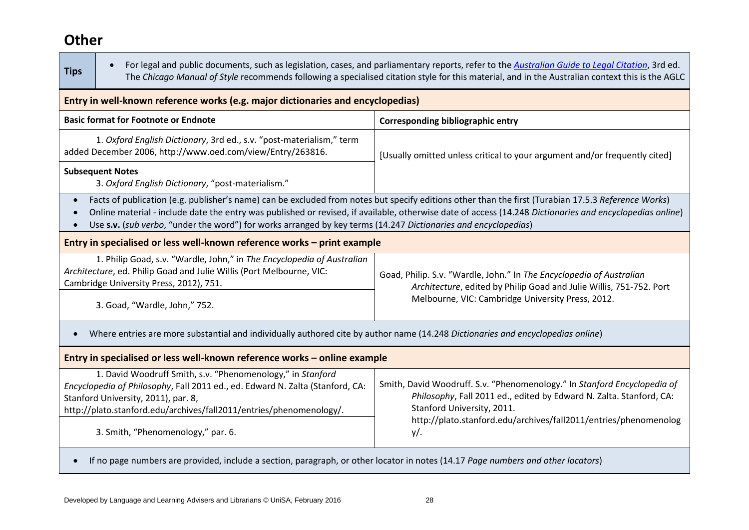# **Other**

| $\bullet$                                                                                                                                                                                                                                                                                                                                                                                                                                                                | For legal and public documents, such as legislation, cases, and parliamentary reports, refer to the Australian Guide to Legal Citation, 3rd ed.<br>The Chicago Manual of Style recommends following a specialised citation style for this material, and in the Australian context this is the AGLC |  |  |
|--------------------------------------------------------------------------------------------------------------------------------------------------------------------------------------------------------------------------------------------------------------------------------------------------------------------------------------------------------------------------------------------------------------------------------------------------------------------------|----------------------------------------------------------------------------------------------------------------------------------------------------------------------------------------------------------------------------------------------------------------------------------------------------|--|--|
| Entry in well-known reference works (e.g. major dictionaries and encyclopedias)                                                                                                                                                                                                                                                                                                                                                                                          |                                                                                                                                                                                                                                                                                                    |  |  |
| <b>Basic format for Footnote or Endnote</b>                                                                                                                                                                                                                                                                                                                                                                                                                              | <b>Corresponding bibliographic entry</b>                                                                                                                                                                                                                                                           |  |  |
| 1. Oxford English Dictionary, 3rd ed., s.v. "post-materialism," term<br>added December 2006, http://www.oed.com/view/Entry/263816.                                                                                                                                                                                                                                                                                                                                       | [Usually omitted unless critical to your argument and/or frequently cited]                                                                                                                                                                                                                         |  |  |
| <b>Subsequent Notes</b><br>3. Oxford English Dictionary, "post-materialism."                                                                                                                                                                                                                                                                                                                                                                                             |                                                                                                                                                                                                                                                                                                    |  |  |
| Facts of publication (e.g. publisher's name) can be excluded from notes but specify editions other than the first (Turabian 17.5.3 Reference Works)<br>$\bullet$<br>Online material - include date the entry was published or revised, if available, otherwise date of access (14.248 Dictionaries and encyclopedias online)<br>$\bullet$<br>Use s.v. (sub verbo, "under the word") for works arranged by key terms (14.247 Dictionaries and encyclopedias)<br>$\bullet$ |                                                                                                                                                                                                                                                                                                    |  |  |
| Entry in specialised or less well-known reference works - print example                                                                                                                                                                                                                                                                                                                                                                                                  |                                                                                                                                                                                                                                                                                                    |  |  |
| 1. Philip Goad, s.v. "Wardle, John," in The Encyclopedia of Australian<br>Architecture, ed. Philip Goad and Julie Willis (Port Melbourne, VIC:<br>Cambridge University Press, 2012), 751.                                                                                                                                                                                                                                                                                | Goad, Philip. S.v. "Wardle, John." In The Encyclopedia of Australian<br>Architecture, edited by Philip Goad and Julie Willis, 751-752. Port                                                                                                                                                        |  |  |
| 3. Goad, "Wardle, John," 752.                                                                                                                                                                                                                                                                                                                                                                                                                                            | Melbourne, VIC: Cambridge University Press, 2012.                                                                                                                                                                                                                                                  |  |  |
| Where entries are more substantial and individually authored cite by author name (14.248 Dictionaries and encyclopedias online)                                                                                                                                                                                                                                                                                                                                          |                                                                                                                                                                                                                                                                                                    |  |  |
| Entry in specialised or less well-known reference works - online example                                                                                                                                                                                                                                                                                                                                                                                                 |                                                                                                                                                                                                                                                                                                    |  |  |
| 1. David Woodruff Smith, s.v. "Phenomenology," in Stanford<br>Encyclopedia of Philosophy, Fall 2011 ed., ed. Edward N. Zalta (Stanford, CA:<br>Stanford University, 2011), par. 8,<br>http://plato.stanford.edu/archives/fall2011/entries/phenomenology/.<br>3. Smith, "Phenomenology," par. 6.                                                                                                                                                                          | Smith, David Woodruff. S.v. "Phenomenology." In Stanford Encyclopedia of<br>Philosophy, Fall 2011 ed., edited by Edward N. Zalta. Stanford, CA:<br>Stanford University, 2011.<br>http://plato.stanford.edu/archives/fall2011/entries/phenomenolog<br>$y/$ .                                        |  |  |
|                                                                                                                                                                                                                                                                                                                                                                                                                                                                          |                                                                                                                                                                                                                                                                                                    |  |  |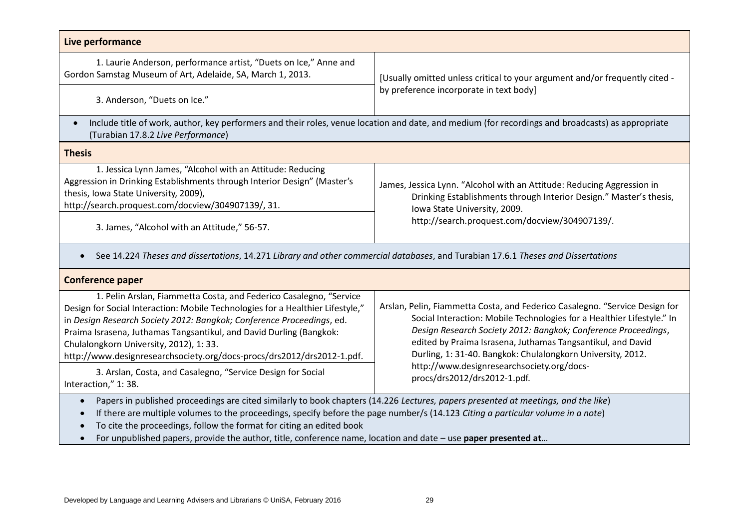| Live performance                                                                                                                                                                                                                                                                                                                                                                                                                                                                        |                                                                                                                                                                                                                                                                                                                                                                                                     |  |
|-----------------------------------------------------------------------------------------------------------------------------------------------------------------------------------------------------------------------------------------------------------------------------------------------------------------------------------------------------------------------------------------------------------------------------------------------------------------------------------------|-----------------------------------------------------------------------------------------------------------------------------------------------------------------------------------------------------------------------------------------------------------------------------------------------------------------------------------------------------------------------------------------------------|--|
| 1. Laurie Anderson, performance artist, "Duets on Ice," Anne and<br>Gordon Samstag Museum of Art, Adelaide, SA, March 1, 2013.                                                                                                                                                                                                                                                                                                                                                          | [Usually omitted unless critical to your argument and/or frequently cited -<br>by preference incorporate in text body]                                                                                                                                                                                                                                                                              |  |
| 3. Anderson, "Duets on Ice."                                                                                                                                                                                                                                                                                                                                                                                                                                                            |                                                                                                                                                                                                                                                                                                                                                                                                     |  |
| $\bullet$<br>(Turabian 17.8.2 Live Performance)                                                                                                                                                                                                                                                                                                                                                                                                                                         | Include title of work, author, key performers and their roles, venue location and date, and medium (for recordings and broadcasts) as appropriate                                                                                                                                                                                                                                                   |  |
| <b>Thesis</b>                                                                                                                                                                                                                                                                                                                                                                                                                                                                           |                                                                                                                                                                                                                                                                                                                                                                                                     |  |
| 1. Jessica Lynn James, "Alcohol with an Attitude: Reducing<br>Aggression in Drinking Establishments through Interior Design" (Master's<br>thesis, Iowa State University, 2009),<br>http://search.proquest.com/docview/304907139/, 31.<br>3. James, "Alcohol with an Attitude," 56-57.                                                                                                                                                                                                   | James, Jessica Lynn. "Alcohol with an Attitude: Reducing Aggression in<br>Drinking Establishments through Interior Design." Master's thesis,<br>Iowa State University, 2009.<br>http://search.proquest.com/docview/304907139/.                                                                                                                                                                      |  |
| See 14.224 Theses and dissertations, 14.271 Library and other commercial databases, and Turabian 17.6.1 Theses and Dissertations                                                                                                                                                                                                                                                                                                                                                        |                                                                                                                                                                                                                                                                                                                                                                                                     |  |
| <b>Conference paper</b>                                                                                                                                                                                                                                                                                                                                                                                                                                                                 |                                                                                                                                                                                                                                                                                                                                                                                                     |  |
| 1. Pelin Arslan, Fiammetta Costa, and Federico Casalegno, "Service<br>Design for Social Interaction: Mobile Technologies for a Healthier Lifestyle,"<br>in Design Research Society 2012: Bangkok; Conference Proceedings, ed.<br>Praima Israsena, Juthamas Tangsantikul, and David Durling (Bangkok:<br>Chulalongkorn University, 2012), 1:33.<br>http://www.designresearchsociety.org/docs-procs/drs2012/drs2012-1.pdf.<br>3. Arslan, Costa, and Casalegno, "Service Design for Social | Arslan, Pelin, Fiammetta Costa, and Federico Casalegno. "Service Design for<br>Social Interaction: Mobile Technologies for a Healthier Lifestyle." In<br>Design Research Society 2012: Bangkok; Conference Proceedings,<br>edited by Praima Israsena, Juthamas Tangsantikul, and David<br>Durling, 1: 31-40. Bangkok: Chulalongkorn University, 2012.<br>http://www.designresearchsociety.org/docs- |  |

3. Arslan, Costa, and Casalegno, "Service Design for Social Interaction," 1: 38.

Papers in published proceedings are cited similarly to book chapters (14.226 *Lectures, papers presented at meetings, and the like*)

If there are multiple volumes to the proceedings, specify before the page number/s (14.123 *Citing a particular volume in a note*)

To cite the proceedings, follow the format for citing an edited book

For unpublished papers, provide the author, title, conference name, location and date – use **paper presented at**…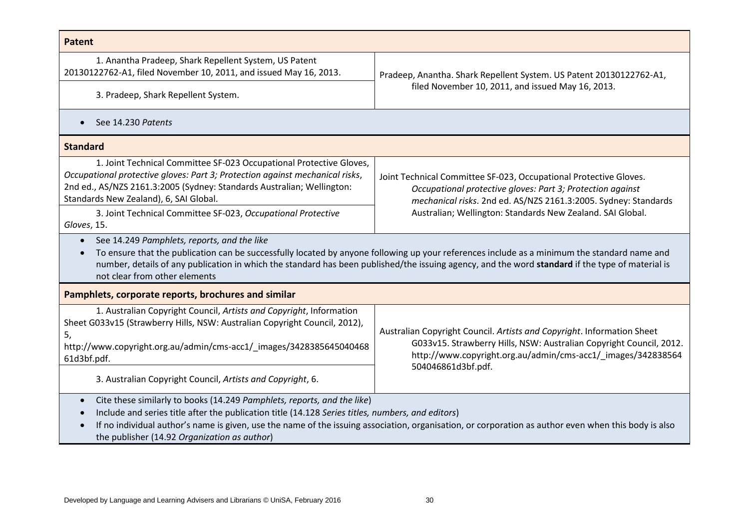| Patent                                                                                                                                                                                                                                                                                                                                                                                            |                                                                                                                                                                                                               |  |  |
|---------------------------------------------------------------------------------------------------------------------------------------------------------------------------------------------------------------------------------------------------------------------------------------------------------------------------------------------------------------------------------------------------|---------------------------------------------------------------------------------------------------------------------------------------------------------------------------------------------------------------|--|--|
| 1. Anantha Pradeep, Shark Repellent System, US Patent<br>20130122762-A1, filed November 10, 2011, and issued May 16, 2013.                                                                                                                                                                                                                                                                        | Pradeep, Anantha. Shark Repellent System. US Patent 20130122762-A1,<br>filed November 10, 2011, and issued May 16, 2013.                                                                                      |  |  |
| 3. Pradeep, Shark Repellent System.                                                                                                                                                                                                                                                                                                                                                               |                                                                                                                                                                                                               |  |  |
| See 14.230 Patents<br>$\bullet$                                                                                                                                                                                                                                                                                                                                                                   |                                                                                                                                                                                                               |  |  |
| <b>Standard</b>                                                                                                                                                                                                                                                                                                                                                                                   |                                                                                                                                                                                                               |  |  |
| 1. Joint Technical Committee SF-023 Occupational Protective Gloves,<br>Occupational protective gloves: Part 3; Protection against mechanical risks,<br>2nd ed., AS/NZS 2161.3:2005 (Sydney: Standards Australian; Wellington:<br>Standards New Zealand), 6, SAI Global.                                                                                                                           | Joint Technical Committee SF-023, Occupational Protective Gloves.<br>Occupational protective gloves: Part 3; Protection against<br>mechanical risks. 2nd ed. AS/NZS 2161.3:2005. Sydney: Standards            |  |  |
| 3. Joint Technical Committee SF-023, Occupational Protective<br>Gloves, 15.                                                                                                                                                                                                                                                                                                                       | Australian; Wellington: Standards New Zealand. SAI Global.                                                                                                                                                    |  |  |
| See 14.249 Pamphlets, reports, and the like<br>$\bullet$<br>To ensure that the publication can be successfully located by anyone following up your references include as a minimum the standard name and<br>number, details of any publication in which the standard has been published/the issuing agency, and the word standard if the type of material is<br>not clear from other elements     |                                                                                                                                                                                                               |  |  |
| Pamphlets, corporate reports, brochures and similar                                                                                                                                                                                                                                                                                                                                               |                                                                                                                                                                                                               |  |  |
| 1. Australian Copyright Council, Artists and Copyright, Information<br>Sheet G033v15 (Strawberry Hills, NSW: Australian Copyright Council, 2012),<br>5,<br>http://www.copyright.org.au/admin/cms-acc1/_images/3428385645040468<br>61d3bf.pdf.                                                                                                                                                     | Australian Copyright Council. Artists and Copyright. Information Sheet<br>G033v15. Strawberry Hills, NSW: Australian Copyright Council, 2012.<br>http://www.copyright.org.au/admin/cms-acc1/_images/342838564 |  |  |
| 3. Australian Copyright Council, Artists and Copyright, 6.                                                                                                                                                                                                                                                                                                                                        | 504046861d3bf.pdf.                                                                                                                                                                                            |  |  |
| Cite these similarly to books (14.249 Pamphlets, reports, and the like)<br>$\bullet$<br>Include and series title after the publication title (14.128 Series titles, numbers, and editors)<br>If no individual author's name is given, use the name of the issuing association, organisation, or corporation as author even when this body is also<br>the publisher (14.92 Organization as author) |                                                                                                                                                                                                               |  |  |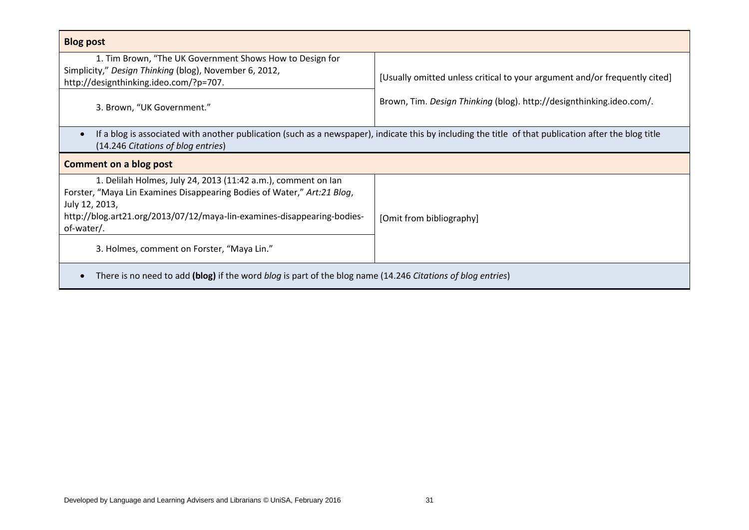| <b>Blog post</b>                                                                                                                                                                                                                                    |                                                                            |  |  |
|-----------------------------------------------------------------------------------------------------------------------------------------------------------------------------------------------------------------------------------------------------|----------------------------------------------------------------------------|--|--|
| 1. Tim Brown, "The UK Government Shows How to Design for<br>Simplicity," Design Thinking (blog), November 6, 2012,<br>http://designthinking.ideo.com/?p=707.                                                                                        | [Usually omitted unless critical to your argument and/or frequently cited] |  |  |
| 3. Brown, "UK Government."                                                                                                                                                                                                                          | Brown, Tim. Design Thinking (blog). http://designthinking.ideo.com/.       |  |  |
| If a blog is associated with another publication (such as a newspaper), indicate this by including the title of that publication after the blog title<br>(14.246 Citations of blog entries)                                                         |                                                                            |  |  |
| Comment on a blog post                                                                                                                                                                                                                              |                                                                            |  |  |
| 1. Delilah Holmes, July 24, 2013 (11:42 a.m.), comment on lan<br>Forster, "Maya Lin Examines Disappearing Bodies of Water," Art:21 Blog,<br>July 12, 2013,<br>http://blog.art21.org/2013/07/12/maya-lin-examines-disappearing-bodies-<br>of-water/. | [Omit from bibliography]                                                   |  |  |
| 3. Holmes, comment on Forster, "Maya Lin."                                                                                                                                                                                                          |                                                                            |  |  |
| There is no need to add (blog) if the word blog is part of the blog name (14.246 Citations of blog entries)                                                                                                                                         |                                                                            |  |  |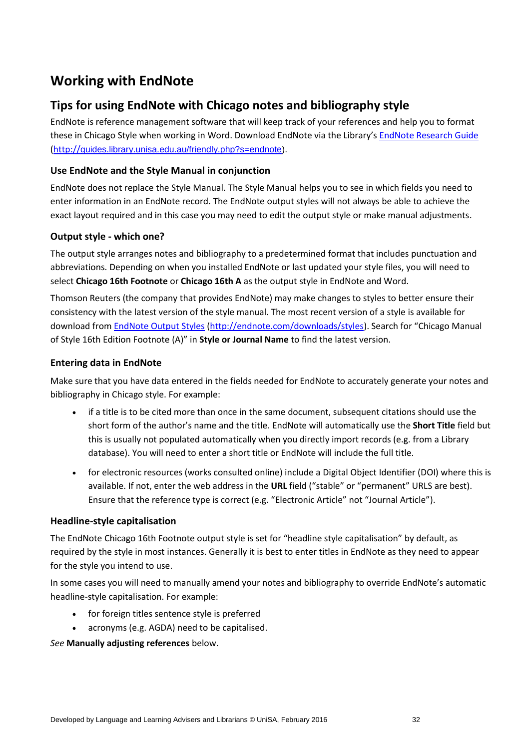# **Working with EndNote**

## **Tips for using EndNote with Chicago notes and bibliography style**

EndNote is reference management software that will keep track of your references and help you to format these in Chicago Style when working in Word. Download EndNote via the Library's [EndNote Research Guide](http://unisa.libguides.com/endnote) (http://[guides.library.unisa.edu.au/friendly.php?s=endnote\)](http://guides.library.unisa.edu.au/friendly.php?s=endnote).

### **Use EndNote and the Style Manual in conjunction**

EndNote does not replace the Style Manual. The Style Manual helps you to see in which fields you need to enter information in an EndNote record. The EndNote output styles will not always be able to achieve the exact layout required and in this case you may need to edit the output style or make manual adjustments.

### **Output style - which one?**

The output style arranges notes and bibliography to a predetermined format that includes punctuation and abbreviations. Depending on when you installed EndNote or last updated your style files, you will need to select **Chicago 16th Footnote** or **Chicago 16th A** as the output style in EndNote and Word.

Thomson Reuters (the company that provides EndNote) may make changes to styles to better ensure their consistency with the latest version of the style manual. The most recent version of a style is available for download from [EndNote Output Styles](http://endnote.com/downloads/styles) [\(http://endnote.com/downloads/styles\)](http://endnote.com/downloads/styles). Search for "Chicago Manual of Style 16th Edition Footnote (A)" in **Style or Journal Name** to find the latest version.

### **Entering data in EndNote**

Make sure that you have data entered in the fields needed for EndNote to accurately generate your notes and bibliography in Chicago style. For example:

- if a title is to be cited more than once in the same document, subsequent citations should use the short form of the author's name and the title. EndNote will automatically use the **Short Title** field but this is usually not populated automatically when you directly import records (e.g. from a Library database). You will need to enter a short title or EndNote will include the full title.
- for electronic resources (works consulted online) include a Digital Object Identifier (DOI) where this is available. If not, enter the web address in the **URL** field ("stable" or "permanent" URLS are best). Ensure that the reference type is correct (e.g. "Electronic Article" not "Journal Article").

### **Headline-style capitalisation**

The EndNote Chicago 16th Footnote output style is set for "headline style capitalisation" by default, as required by the style in most instances. Generally it is best to enter titles in EndNote as they need to appear for the style you intend to use.

In some cases you will need to manually amend your notes and bibliography to override EndNote's automatic headline-style capitalisation. For example:

- for foreign titles sentence style is preferred
- acronyms (e.g. AGDA) need to be capitalised.

*See* **Manually adjusting references** below.